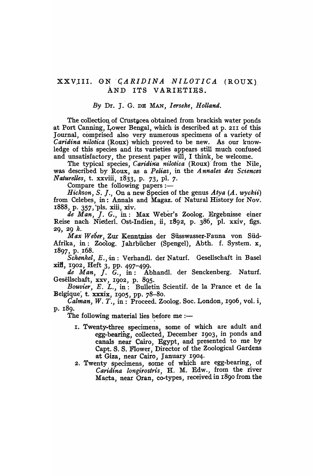#### XXVIII. ON *CARIDINA NILOTICA* (ROUX) AND ITS VARIETIES.

#### *By* Dr. J. G. DE MAN, *I erseke, Holland.*

The collection of Crustacea obtained from brackish water ponds at Port Canning, Lower Bengal, which is described at p. 211 of this Journal, comprised also very numerous specimens of a variety of *Caridina nilotica* (Roux) which proved to be new. As our knowledge of this species and its varieties appears still much confused and unsatisfactory, the present paper will, I think, be welcome.

The typical species, *Caridina nilotica* (Roux) from the Nile, was described by Roux, as a *Pelias,* in the *Annales des Sciences Naturelles,* t. xxviii, 1833, p. 73, pI. 7.

Compare the following papers  $:$   $-$ 

*Hickson, S. J., On a new Species of the genus Atya (A. wyckii)* from Celebes, in: Annals and Magaz. of Natural History for Nov. 1888, p. 357, "pIs. xiii, xiv.

*de Man,* f. *G.,* in: Max Weber's Zoolog. Ergebnisse einer Reise nach Niederl. Ost-Indien, ii, 1892, p. 386, 'pl. xxiv, figs. 29, 29 k.

Max Weber, Zur Kenntniss der Süsswasser-Fauna von Süd-Afrika, in: Zoolog. Jahrbiicher (Spengel), Abth. f. System. x, 1897, p. \_168.

Schenkel, E., in: Verhandl. der Naturf. Gesellschaft in Basel xiil, 1902, Heft 3, pp. 497-499.

*de Man,* f. *G.,* in: Abhandl. der Senckenberg. Naturf. Gesellschaft, xxv, 1902, p. 895.

*Bouvier, E. L.,* in: Bulletin Scientif. de la France et de la Belgique,  $t.$  xxxix, 1905, pp.  $78-80$ .

*CaIman, W. T.,* in: Proceed. Zoolog. Soc. London, 1906, vol. i, p. 189.

The following material lies before me  $:$ --

- I. Twenty-three specimens, some of which are adult and egg-bearing, collected, December 1903, in ponds and canals near Cairo, Egypt, and presented to me by Capt. S. S. Flower, Director of the Zoological Gardens at Giza, near Cairo, January 1904· .
- 2. Twenty specimens, some of which are egg-bearing, of Caridina longirostris, H. M. Edw., from the river Macta, near Oran, co-types, received in 1890 from the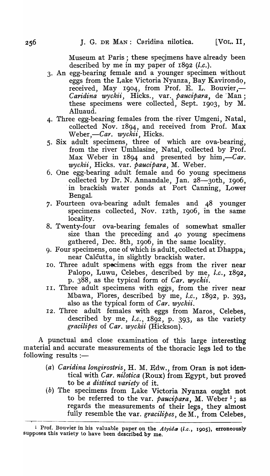Museum at Paris; these spegmens have already been described by me in my paper of 1892 *(l.c.).* 

- 3. An egg-bearing female and a younger specimen without eggs from the Lake Victoria Nyanza, Bay Kavirondo, received, May 1904, from Prof. E. L. Bouvier,-Caridina wyckii, Hicks., var. *paucipara*, de Man; these specimens were collected, Sept. 1903, by M. Alluaud.
- 4. Three egg-bearing females from the river Umgeni, Natal, collected Nov. 1894, and received from Prof. Max Weber,—Car. *wyckii*, Hicks.
- 5. Six adult specimens, three of which are ova-bearing, from the river Umhlasine, Natal, collected by Prof. Max Weber in  $1894$  and presented by him,—*Car*. *wyckii,* Hicks. var. *pauc1:para,* M. Weber.
- 6. One egg-bearing adult female and 60 young specimens collected by Dr. N. Annandale, Jan. 28-30th, 1906, in brackish water ponds at Port Canning, Lower Bengal.
- 7. Fourteen ova-bearing adult females and 48 younger specimens collected, Nov. 12th, 1906, 'in the same locality.
- 8. Twenty-four ova-bearing females of somewhat smaller size than the preceding and 40 young specimens gathered, Dec. 8th, 1906, in the same locality.
- 9. Four specimens, one of which is adult, collected at Dhappa, near Calcutta, in slightly brackish water.
- 10. Three adult specimens with eggs from the river near Palopo, Luwu, Celebes, described by me, *l.c.*, 1892, p. 388, as the typical form of *Car. wyckii.*
- 11. Three adult specimens with eggs, from the river near Mbawa, Flores, described by me, *l.c.,* 1892, p. 393, also as the typical form of *Car. wyckii.*
- 12. Three adult females with eggs from Maros, Celebes, described by me, *l.c.,* 1892, p. 393, as the variety *gracilipes* of *Car. wyckii* (Hickson).

A punctual and close examination of this large interesting material and accurate measurements of the thoracic legs led to the following results  $:$   $-$ 

- *(a) Caridina longirostris,* H. M. Edw., from Oran is not identical with *Car. nilotica* (Roux) from Egypt, but proved to be *a distinct variety* of it. .
- (b) The specimens from Lake Victoria Nyanza ought not to be referred to the var. *paucipara*, M. Weber<sup>1</sup>; as regards the measurements of their legs, they almost fully resemble the var. *gracilipes,* de M., from Celebes,

<sup>&</sup>lt;sup>1</sup> Prof. Bouvier in his valuable paper on the *Atyida (l.c.*, 1905), erroneously supposes this variety to have been described by me.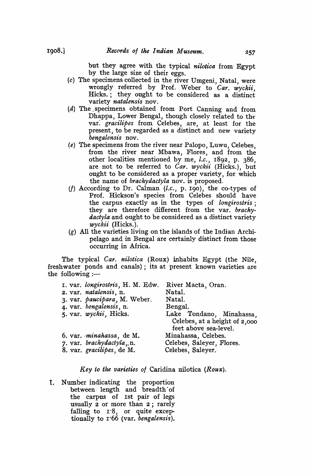but they agree with the typical *nilotiea* from· Egypt by the large size of their eggs.

- (c) The specimens collected in the river Umgeni, Natal, were wrongly referred by Prof. Weber to *Car. wyekii,*  Hicks.; they ought to be considered as a distinct variety *natalensis* nov.
- (d) The . specimens obtained from Port Canning and from Dhappa, Lower Bengal, though closely related to the var: *graeilipes* from, Celebes, are, at least for the present, to be regarded as a distinct and new variety *bengalensis* nov.
- (e) The specimens from the river near Palopo, Luwu, Celebes, from the river near Mbawa, Flores, and from the other localities mentioned by me, *l.e.,* 1892, p. 386, are not to be referred to *Car. wyekii* (Hicks.), but ought to be considered as a proper variety, for which , the name of *braehydaetyla* nov. is proposed,
- *(I)* According to Dr. CaIman *(t.e.,* p. 190), the co-types of Prof. Hickson's species from Celebes should have the carpus exactly as in the types of *longirostris;*  they are therefore different from the var. *brachydactyla* and ought to be considered as a distinct variety *wyckii* (Hicks.).
- (g) All the varieties living on the islands of the Indian Archipelago and in Bengal are certainly distinct from those occurring in Africa.

The typical *Car. nilotica* (Roux) inhabits Egypt (the Nile, freshwater ponds and canals); its at present known varieties are the following  $:=$ 

| I. var. longirostris, H. M. Edw. | River Macta, Oran.            |
|----------------------------------|-------------------------------|
| 2. var. natalensis, n.           | Natal.                        |
| 3. var. paucipara, M. Weber.     | Natal.                        |
| 4. var. bengalensis, n.          | Bengal.                       |
| 5. var. wyckii, Hicks.           | Lake Tondano, Minahassa,      |
|                                  | Celebes, at a height of 2,000 |
|                                  | feet above sea-level.         |
| 6. var. minahassa, de M.         | Minahassa, Celebes.           |
| 7. var. brachydactyla, n.        | Celebes, Saleyer, Flores.     |
| 8. var. gracilipes, de M.        | Celebes, Saleyer.             |

*Key to the varieties 01* Caridina nilotica *(Roux).* 

I. Number indicating the proportion between· length and breadth 'of the carpus of 1st pair of legs usually 2 or more than 2; rarely falling to 1'8, or quite exceptionally to 1'66 (var. *bengalensis).*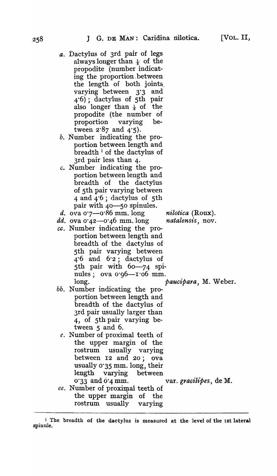- *a.* Dactylus of 3rd pair of legs always longer than  $\frac{1}{6}$  of the propodite (number indicating the proportion, between the length of both joints varying between 3'3 and 4'6); dactylus of 5th pair also longer than  $\frac{1}{5}$  of the propodite (the number of proportion varying between  $2.87$  and  $4.5$ ).
- $b$ . Number indicating the proportion between length and breadth 1 of the dactylus of 3rd pair less than 4.
- *c.* Number indicating the proportion between length and breadth of the dactylus of 5th pair varying between 4 and 4'6; dactylus of 5th pair with 40-50 spinules.
- *d.* ova 0.7—0.86 mm. long *nilotica* (Roux).
- *dd.* ova 0'42-0'46 mm.long *natalensis,* nov.
- *cc.* Number indicating the proportion between length and breadth of the dactylus of 5th pair varying between  $4^{\circ}$  and  $6^{\circ}$ ; dactylus of 5th pair with 60-74 spinules; ova 0.96-1.06 mm. long. **patition pairs pairs pairs n pairs pairs pairs pairs pairs pairs pairs pairs pairs pairs pairs pairs pairs pairs pairs pairs pairs pairs pairs pairs pairs pairs**
- bb. Number indicating the proportion between length and breadth of the dactylus of 3rd pair usually larger than 4, of 5th pair varying between 5 and 6.
	- *e.* Number of proximal teeth of the upper margin of the rostrum usually varying between 12 and 20; ova usually 0'35 mm. long, their length varying. between 0"33 and 0"4 mm. var. *gracilipes,* de M.
- *ee.* Number of proximal teeth of the upper margin of the rostrum usually varying

<sup>1</sup> The breadth of the dactylus is measured at the level of the 1st lateral spinule.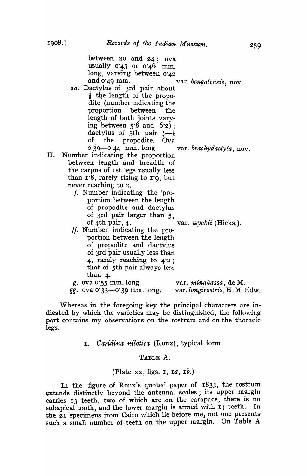|    | between $20$ and $24$ ; ova<br>usually $0.45$ or $0.46$ mm.<br>long, varying between 0.42<br>and $0.49$ mm.<br>var. bengalensis, nov.<br>aa. Dactylus of 3rd pair about<br>$\frac{1}{6}$ the length of the propo-<br>dite (number indicating the |  |
|----|--------------------------------------------------------------------------------------------------------------------------------------------------------------------------------------------------------------------------------------------------|--|
|    | proportion between the                                                                                                                                                                                                                           |  |
|    | length of both joints vary-<br>ing between $5.8$ and $6.2$ ;                                                                                                                                                                                     |  |
|    | dactylus of 5th pair $\frac{1}{6}$ $\frac{1}{6}$                                                                                                                                                                                                 |  |
|    | of the propodite. Ova                                                                                                                                                                                                                            |  |
|    | 0'39-0'44 mm. long var. brachydactyla, nov.                                                                                                                                                                                                      |  |
| П. | Number indicating the proportion                                                                                                                                                                                                                 |  |
|    | between length and breadth of                                                                                                                                                                                                                    |  |
|    | the carpus of 1st legs usually less                                                                                                                                                                                                              |  |
|    | than 1.8, rarely rising to 1.9, but                                                                                                                                                                                                              |  |
|    | never reaching to 2.                                                                                                                                                                                                                             |  |
|    | f. Number indicating the 'pro-                                                                                                                                                                                                                   |  |
|    | portion between the length                                                                                                                                                                                                                       |  |
|    | of propodite and dactylus                                                                                                                                                                                                                        |  |
|    | of 3rd pair larger than 5,                                                                                                                                                                                                                       |  |
|    | of 4th pair, 4.<br>var. wyckii (Hicks.).                                                                                                                                                                                                         |  |
|    | ff. Number indicating the pro-                                                                                                                                                                                                                   |  |
|    | portion between the length                                                                                                                                                                                                                       |  |
|    | of propodite and dactylus                                                                                                                                                                                                                        |  |
|    | of 3rd pair usually less than                                                                                                                                                                                                                    |  |
|    | 4, rarely reaching to $4.2$ ;                                                                                                                                                                                                                    |  |
|    | that of 5th pair always less                                                                                                                                                                                                                     |  |

| than 4.                       |                               |
|-------------------------------|-------------------------------|
| g. ova $0.55$ mm. long        | var. minahassa, de M.         |
| $gg.$ ova 0.33—0.39 mm. long. | var. longirostris, H. M. Edw. |

Whereas in the foregoing key the principal characters are indicated by which the varieties may be distinguished, the following part contains my observations on the rostrum and on the thoracic legs.

*1. Caridina nilotica* (Roux), typical form.

#### TABLE A.

#### (Plate xx, figs. I, 1a, *lb.)*

In the figure of Roux's quoted paper of 1833, the rostrum extends distinctly beyond the antennal scales; its upper margin carries 13 teeth, two of which are on the carapace, there is no subapical tooth, and the lower margin is armed with 14 teeth. In the 21 specimens from Cairo which lie before me, not one presents such a small number of teeth on the upper margin. On Table A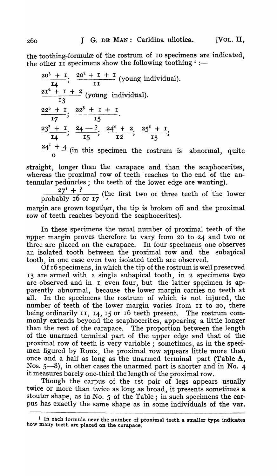the toothing-formulæ of the rostrum of 10 specimens are indicated. the other II specimens show the following toothing  $\frac{1}{1}$  :-

 $\frac{20^3 + I}{I4}$ ;  $\frac{20^2 + I + I}{II}$  (young individual).  $\frac{2I^2 + I + 2}{I^2}$  (young individual).  $\frac{22^3 + 1}{17}$ ;  $\frac{22^8 + 1 + 1}{15}$  $\frac{23^3+1}{14}$ ;  $\frac{24-?}{15}$ ;  $\frac{24^3+2}{12}$ ;  $\frac{25^3+1}{15}$ ;  $\frac{24^2+4}{2}$  (in this specimen the rostrum is  $\frac{1}{2}$  (in this specimen the rostrum is abnormal, quite

straight, longer than the carapace and than the scaphocerites, whereas the proximal row of teeth 'reaches to the end of the antennular peduncles; the teeth of the lower edge are wanting).

 $\frac{27^4 + ?}{27^{4} + ?}$  (the first two or three teeth of the lower probably 16 or  $17$ 

margin are grown together, the tip is broken off and the proximal row of teeth reaches beyond the scaphocerites).

In these specimens the usual number of proximal teeth of the upper margin proves therefore to vary from 20 to 24 and two or three are placed on the carapace. In four specimens one observes an isolated tooth between the proximal row and the subapical tooth, in one case even two isolated teeth are observed.

Of 16 specimens, in which the tip of the rostrum is well preserved 13 are armed with a single subapical tooth, in 2 specimens two are observed and in I even four, but the latter specimen is apparently abnormal, because the lower margin carries no teeth at all. In the specimens the rostrum of which is not injured, the number of teeth of the lower margin varies from II to 20, there being ordinarily II, 14, 15 or 16 teeth present. The rostrum commonly extends beyond the scaphocerites, appearing a little longer than the rest of the carapace. The proportion between the length of the unarmed terminal part of the upper edge and that of the proximal row of teeth is very variable; sometimes, as in the specimen figured by Roux, the proximal row appears little more than once and a half as long as the unarmed terminal part (Table A, Nos.  $5-8$ , in other cases the unarmed part is shorter and in No. 4 it measures barely one-third the length of the proximal row.

Though the carpus of the 1st pair of legs appears usually twice or more than twice as long as broad, it presents sometimes a stouter shape, as in No. 5 of the Table; in such specimens the carpus has exactly the same shape as in some individuals of the var.

<sup>&</sup>lt;sup>1</sup> In each formula near the number of proximal teeth a smaller type indicates how many teeth are placed on the carapace.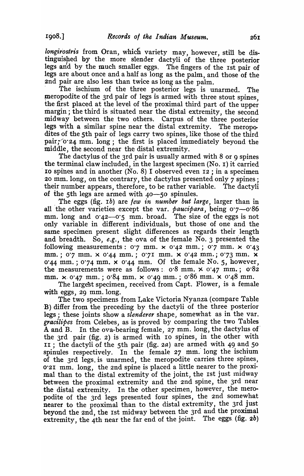*longirostris* from Oran, which variety may, however, still be distinguished by the more slender dactyli of the three posterior legs and by the much smaller eggs. The fingers of the 1st pair of legs are about once and a half as long as the palm, and those of the 2nd pair are also less than twice as long as the palm.

The ischium of the three posterior legs is unarmed. The meropodite of the 3rd pair of legs is armed with three stout spines. the first placed at the level of the proximal third part of the uppe: margin; the third is situated near the distal extremity, the second midway between the two others. Carpus of the three posterior legs with a similar spine near the distal extremity. The meropodites of the 5th pair of legs carry two spines, like those of the third  $pair: 0.24$  mm. long; the first is placed immediately beyond the middle, the second near the distal extremity.

The dactylus of the 3rd pair is usually armed with 8 or 9 spines the terminal claw included, in the largest specimen (No. I) it carried ro spines and in another (No. 8) I observed even  $12$ ; in a specimen 20 mm. long, on the contrary, the dactylus presented only  $\overline{\gamma}$  spines; their number appears, therefore, to be rather variable. The dactyli of the 5th legs are armed with 40-50 spinules.

\_ The eggs (fig. *Ib)* are *few in number but large,* larger than in all the other varieties except the var. *paucipara*, being 0.7-0.86 mm. long and 0.42-0.5 mm. broad. The size of the eggs is not only variable in different individuals, but those of one and the same specimen present slight differences as regards their length and breadth, So, *e.g.*, the ova of the female No. 3 presented the following measurements:  $0.7$  mm.  $\times$   $0.42$  mm.;  $0.7$  mm.  $\times$   $0.43$ mm.;  $0.7$  mm. x  $0.44$  mm.;  $0.71$  mm. x  $0.42$  mm.;  $0.73$  mm. x 0'44 mm.; 0'74 mm.  $\times$  0'44 mm. Of the female No. 5, however, the measurements were as follows:  $0.8$  mm.  $\times$   $0.47$  mm.;  $0.82$ mm. x· 0'47 mm.; 0'84 mm. x 0'49 mm.; 0'86 mm, x 0'48 mm.

The largest specimen, received from Capt, Flower, is a female with eggs, 29 mm.long.

The two specimens from Lake Victoria Nyanza (compare Table ·B) differ from the preceding by the dactyli of the three posterior legs; these joints show a *slenderer* shape, somewhat as in the var. *gracilipes* from Celebes, as is proved by comparing the two Tables A and B. In the ova-bearing female, 27 mm. long, the dactylus of the 3rd pair (fig. 2) is armed with IO spines, in the other with II; the dactyli of the 5th pair (fig.  $2a$ ) are armed with 49 and 50 spinules respectively. In the female 27 mm. long the ischium of the 3rd legs. is unarmed, the meropodite carries three spines, 0'21 mm. long, the 2nd spine is placed a little nearer to the proximal than to the distal extremity of the joint, the Ist just midway between the proximal extremity and the 2nd spine, the 3rd near the distal extremity. In the other specimen, however, the meropodite of the 3rd legs presented four spines, the 2nd somewhat nearer to the proximal than to the distal extremity, the 3rd just beyond the 2nd, the 1st midway between the 3rd and the proximal extremity, the 4th near the far end of the joint. The eggs (fig.  $2b$ )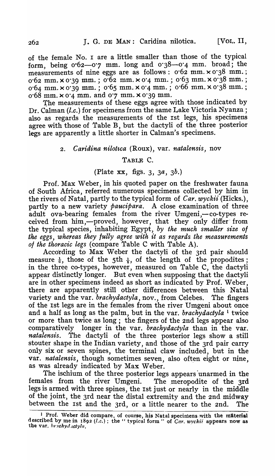of the female No. I are a little smaller than those of the typical form, being  $0.62-0.7$  mm. long and  $0.38-0.4$  mm. broad; the measurements of nine eggs are as follows:  $0.62$  mm.  $\times 0.38$  mm.; 0'62 mm. x 0'39 mm, ; 0'62 mm. x 0'4 mm. ; 0'63 mm. x 0'38 mm. ; 0'64 mm. x 0'39 mm.; 0'65 mm, x 0'4 mm. ; 0'66 mm. x 0'38 mm, ; 0'68 mm. x 0'4 mm. and 0'7 mm. x 0'39 mm.

The measurements of these eggs agree with those indicated by Dr. CaIman *(l.c,)* for specimens from the same Lake Victoria Nyanza; also as regards the measurements of the 1st legs, his specimens agree with those of Table B, but the dactyli of the three posterior legs are apparently a little shorter in CaIman's specimens,

#### 2. *Caridina nilotica* (Roux), var. *natalensis*, nov

#### TABLR C.

#### (Plate xx, figs. 3, *3*a, *3b,)*

Prof. Max Weber, in his quoted paper on the freshwater fauna of South Africa, referred numerous specimens collected by him in the rivers of Natal, partly to the typical form of *Car, wyckii* (Hicks.), partly to a new variety *paucipara.* A close examination of three adult ova-bearing females from the river Umgeni,—co-types received from him,--proved, however, that they only differ from the typical species, inhabiting Egypt, *by the much smaller size of the eggs, whereas they fully agree with it as regards the measurements*  of the thoracic legs (compare Table C with Table A).

According to Max Weber the dactyli of the 3rd pair should measure  $\frac{1}{6}$ , those of the 5th  $\frac{1}{6}$ , of the length of the propodites; in the three co-types, however, measured on Table C, the dactyli appear distinctly longer. But even when supposing that the dactyli are in other specimens indeed as short as indicated by Prof. Weber, there are apparently still other differences between this Natal variety and the var. *brachydactyla,* nov., from Celebes. The fingers of the 1st legs are in the females from the river Umgeni about once and a half as long as the palm, but in the var. *brachydactyla* 1 twice or more than twice as long; the fingers of the 2nd legs appear also comparatively longer in the var, *brachydactyla* than in the var. *natalensis.* The dactyli of the three posterior legs show a still stouter shape in the Indian variety, and those of the 3rd pair carry only six or seven spines, the terminal claw included, but in the var. *natalensis*, though sometimes seven, also often eight or nine, as was already indicated by Max Weber.

The ischium of the three posterior legs appears 'unarmed in the females from the river Umgeni. The meropodite of the 3rd legs is armed with three spines, the 1st just or nearly in the middle of the joint, the 3rd near the distal extremity and the 2nd midway between the 1st and the 3rd, or a little nearer to the 2nd. The

<sup>&</sup>lt;sup>1</sup> Prof. Weber did compare, of course, his Natal specimens with the material described by me in  $1892$   $(l.c.)$ ; the " typical form " of *Car. wyckii* appears now as the var, *brachyd.ctyla*.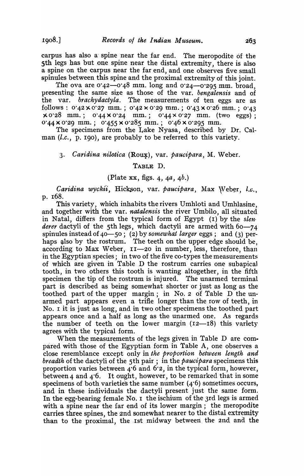carpus has also a' spine near the far end. The meropodite of the 5th legs has but one spine near the distal extremity, there is also a spine on the carpus near the far end, and one observes five small spinules between this spine and the proximal extremity of this joint,

The ova are  $0.42$ — $0.48$  mm. long and  $0.24$ — $0.295$  mm, broad, presenting the same size as those of the var. *bengalensis* and of the var. *brachydactyla.* The measurements of ten eggs are as follows:  $0.42 \times 0.27$  mm.;  $0.42 \times 0.29$  mm.;  $0.43 \times 0.26$  mm.;  $0.43$  $xo$  28 mm.; 0'44 x 0'24 mm.; 0'44 x 0'27 mm. (two eggs); 0.44 x 0.29 mm.; 0.455 x 0.285 mm.; 0.46 x 0.295 mm.

The specimens from the Lake Nyasa, described by Dr. Calman *(l.c.,* p. 190), are probably to be referred to this variety.

#### *3. Car'idina nilotica* (Ro~), var. *paucipara,* M. Weber.

#### TABLE D.

#### (Plate xx, figs. 4, *4*a, *4b.)*

Caridina wyckii, Hickson, var. paucipara, Max Weber, *l.c.*, p. 168.

This variety, which inhabits the rivers Umhloti and Umhlasine, and together with the var. *natalensis* the river Umbilo, all situated in Natal, differs from the typical form of Egypt (1) by the *slen· derer* dactyli of the 5th legs, which dactyli are armed with 60-74 spinules instead of 40-50; (2) by *somewhat larger* eggs; and (3) perhaps also by the rostrum. The teeth on the upper edge should be, according to Max Weber, 11-20 in number, less, therefore, than in the Egyptian species; in two of the five co-types the measurements of which are given in Table D the rostrum carries one subapical tooth, in two others this tooth is wanting altogether, in the fifth specimen the tip of the rostrum is injured. The unarmed terminal part is described as being somewhat shorter or just as long as the toothed part of the upper margin; in No.2 of Table D the unarmed part appears even a trifle longer than the row of teeth, in No. I it is just as long, and in two other specimens the toothed part appears once and a half as long as the unarmed one. As regards the number of teeth on the lower margin  $(12-18)$  this variety agrees with the typical form.

When the measurements of the legs given in Table D are compared with those of the Egyptian form in Table A, one observes a close resemblance except only in *the proportion between length and breadth* of the dactyli of the 5th pair; in the *paucipara* specimens this proportion varies between  $4.6$  and  $6.2$ , in the typical form, however. between 4 and  $4.6$ . It ought, however, to be remarked that in some specimens of both varieties the same number  $(4.6)$  sometimes occurs, and in these individuals the dactyli present just the same form. In the egg-bearing female No. 1 the ischium of the 3rd legs is armed with a spine near the far end of its lower margin; the meropodite carries three spines, the 2nd somewhat nearer to the distal extremity than to the proximal, the Ist midway between the 2nd and the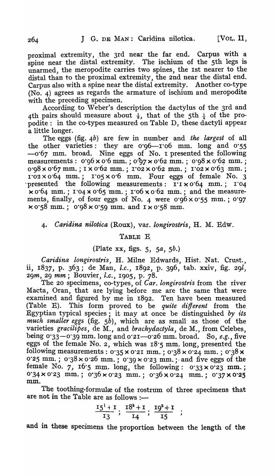proximal extremity, the 3rd near the far end. Carpus with a spine near the distal extremity. The ischium of the 5th legs is unarmed, the meropodite carries two spines, the 1st nearer to the distal than to the proximal extremity, the 2nd near the distal end. Carpus also with a spine near the distal extremity. Another co-type  $(No. 4)$  agrees as regards the armature of ischium and meropodite with the preceding specimen.

According to Weber's description the dactylus of the 3rd and 4th pairs should measure about  $\frac{1}{5}$ , that of the 5th  $\frac{1}{4}$  of the propodite: in the co-types measured on Table D, these dactyli appear a little longer.

The eggs (fig. *4b)* are few, in number and *the largest* of a11 the other varieties: they are 0.96-1.06 mm. long and 0.55  $-0.67$  mm. broad. Nine eggs of No. I presented the following measurements:  $0.96 \times 0.6$  mm.;  $0.97 \times 0.62$  mm.;  $0.98 \times 0.62$  mm.; 0.98 x 0.67 mm.; I x 0.62 mm.; 1.02 x 0.62 mm.; 1.02 x 0.63 mm.;  $1.02 \times 0.64$  mm.;  $1.05 \times 0.6$  mm. Four eggs of female No. 3 presented the following measurements:  $\mathbf{I} \cdot \mathbf{I} \times \mathbf{O}$  of mm.;  $\mathbf{I} \cdot \mathbf{O}4$  $\times$  0°64 mm.; 1°04 x 0°65 mm.; 1°06 x 0°62 mm.; and the measurements, finally, of four eggs of No. 4 were  $0.96 \times 0.55$  mm.; 0.97  $\times$  0.58 mm.; 0.98  $\times$  0.59 mm. and I  $\times$  0.58 mm.

#### 4. Caridina nilotica (Roux), var. *longirostris*, H. M. Edw.

TABLE E.

#### (Plate xx, figs. 5, *sa,* 5*h.)*

Caridina longirostris, H. Milne Edwards, Hist. Nat. Crust., ii, 1837, p. 363; de ,Man, *l.c.,* 1892, p. 396, tab. xxiv, fig. *29l, 29*m, 29 mm; Bouvier, *l.c.,* 1905, p. 78.

The 20 specimens, co-types, of *Car. longirostris* from the river Macta, Oran, that are lying before me are the same that were examined and figured by me in 1892. Ten have been measured (Table E). This form proved to be *quite different* from the Egyptian typical species; it may at once be distinguished *by 1:ts much smaller eggs* (fig.  $5b$ ), which are as small as those of the varieties *gracilipes,* de M., and *brachydactyla,* de M., from Celebes, being 0.33-0.39 mm. long and 0.21-0.26 mm. broad. So, *e.g.*, five eggs of the female No. 2, which was  $18\text{°S mm}$ . long, presented the following measurements: 0.35 x 0.21 mm.; 0.38 x 0.24 mm.; 0.38 x 0.25 mm.; 0.38 x 0.26 mm.; 0.39 x 0.23 mm.; and five eggs of the female No. 7, 16.5 mm. long, the following:  $0.33 \times 0.23$  mm.;  $0.34 \times 0.23$  mm.;  $0.36 \times 0.23$  mm.;  $0.36 \times 0.24$  mm.;  $0.37 \times 0.25$ mm.

The toothing-formulæ of the rostrum of three specimens that are not in the Table are as follows :-

$$
\frac{15^1+1}{13}; \frac{18^2+1}{14}; \frac{19^2+1}{15} ;
$$

and in these specimens the proportion between the length of the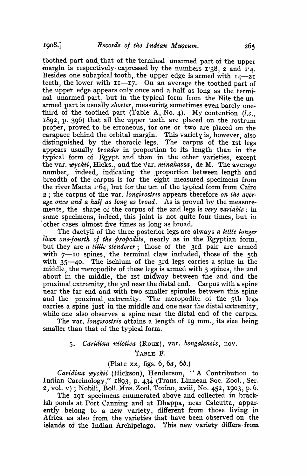toothed part and. that of the terminal unarmed part of the upper margin is respectively expressed by the numbers  $1.38$ , 2 and  $1.4$ . Besides one subapical tooth, the upper edge is armed with  $I_4$ -2I teeth, the lower with II--17. On an average the toothed part of the upper edge appears only once and a half as long as the terminal unarmed part, but in the typical form from the Nile the unarmed part is usually *shorter*, measuring sometimes even barely onethird of the toothed part (Table A, No. 4). My contention  $(l.c.,)$ 1892, p. 396) that all the upper teeth are placed on the rostrum proper, proved to be erroneous, for one or two are placed on the carapace behind the orbital margin. This variety is, however, also distinguished by the thoracic legs. The carpus of the Ist legs appears usually *broader* in proportion to its length than in the typical form of Egypt and than in the other varieties, except the var. *wyckii,* Hicks., and the var. *minahassa,* de M. The average number, indeed, indicating the proportion between length and breadth of the carpus is for the eight measured specimens from the river Macta  $r64$ , but for the ten of the typical form from Cairo 2; the carpus of the var. *longirostris* appears therefore *on the aver*age once and a hall as long as broad. As is proved by the measuremente;, the shape of the carpus of the 2nd legs is *very variable:* in some specimens; indeed, this joint is not quite four times, but in . other cases almost five times as long as broad.

\_ The dactyli of the three posterior legs are always *a little longer than one-fourth of the propodite*, nearly as in the Egyptian form, but they are *a little slenderer*; those of the 3rd pair are armed with  $7$ -IO spines, the terminal claw included, those of the 5th with 35-40. The ischium of the 3rd legs carries a spine in the middle, the meropodite of these legs is armed with 3 spines, the 2nd about in the middle, the Ist midway between the 2nd and the proximal extremity, the 3rd near the distal end. Carpus with a spine near the far end and with two smaller spinules between this spine and the proximal extremity. The meropodite of the 5th legs carries a spine just in the middle and one near the distal extremity, while one also observes a spine near the distal end of the carpus.

The var. *longirostris* attains a length of 19 mm., its size being smaller than that of the typical form.

#### 5. *Caridina nilotica* (Roux), var. *bengalensis*, nov.

TABLE F.

#### (Plate xx, figs. 6, 6a, 6b.)

*Caridina wyckii* (Hickson), Henderson, "A Contribution to Indian Carcinology," I893, p. 434 (Trans. Linnean Soc. Zoo1., Ser. 2, vol. v); Nobili, Boll. Mus. Zool. Torino, xviii, No. 452, 1903, p.6.

The 191 specimens enumerated above and collected in brackish ponds at Port Canning and at Dhappa, near Calcutta, apparently belong to a new variety, different from those living in Africa as also from the varieties that have been observed on the islands of the Indian Archipelago. This new variety differs· from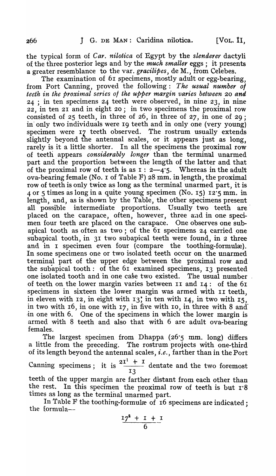the typical form of *Car. nilotica* of Egypt by the *slenderer* dactyli of the three posterior legs and by the *much smaller* eggs; it presents a greater resemblance to the var. *gracilipes,* de M., from Celebes.

The examination of 61 specimens, mostly adult or egg-bearing, from Port Canning, proved the following: *The usual number 0/ teeth in the proximal series of the upper margin varies between 20 and* 24 ; in ten specimens 24 teeth were observed, in nine 23, in nine 22, in ten 21 and in eight 20; in two specimens the proximal row consisted of 25 teeth, in three of 26, in three of 27, in one of 29 ; in only two individuals were 19 teeth and in only one (very young) specimen were 17 teeth observed. The rostrum usually extends slightly beyond the antennal scales, or it appears just as long, rarely is it a little shorter. In all the specimens the proximal row of teeth appears *considerably longer* than the terminal unarmed part and the proportion between the length of the latter and that of the proximal row of teeth is as  $\overline{1}$  : 2-4.5. Whereas in the adult ova-bearing female (No. 1 of Table F)  $28$  mm. in length, the proximal row of teeth is only twice as long as the terminal unarmed part, it is 4 or 5 times as long in a quite young specimen (No. IS) 12'5 mm. in length, and, as is shown by the Table, the other specimens present all possible intermediate proportions. Usually two teeth are' placed on the carapace, often, however, three and in one specimen four teeth are placed on the carapace. One observes one subapical tooth as often as two; of the 61 specimens 24 carried one subapical tooth, in 31 two subapical teeth were found, in 2 three and in I specimen even four (compare the toothing-formulæ). In some specimens one or two isolated teeth occur on the unarmed terminal part of the upper edge between the proximal row and the subapical tooth: of the  $61$  examined specimens, 13 presented one isolated tooth and in one case two existed. The usual number of teeth on the lower margin varies between II and 14: of the 61 specimens in sixteen the lower margin was armed with II teeth, in eleven with 12, in eight with 13; in ten with 14, in two with  $15$ , in two with 16, in one with 17, in five with 10, in three with 8 and' in one with 6. One of the specimens in which the lower margin is armed with 8 teeth and also that with 6 are adult ova-bearing females.

The largest specimen from Dhappa (26"5 mm. long) differs a little from the preceding. The rostrum projects with one-third of its length beyond the antennal scales) *i.e.,* farther than in the Port

of its length beyond the antennal scales, *i.e*., farther than in the Port<br>Canning specimens ; it is  $\frac{2I^1 + I}{I}$  dentate and the two foremost 13 teeth of the upper margin are farther distant from each other than the rest. In this specimen the proximal row of teeth is but  $r \cdot 8$ times as long as the terminal unarmed part.

In Table F the toothing-formulæ of 16 specimens are indicated; the formula--

$$
\frac{17^2+1+1}{6}
$$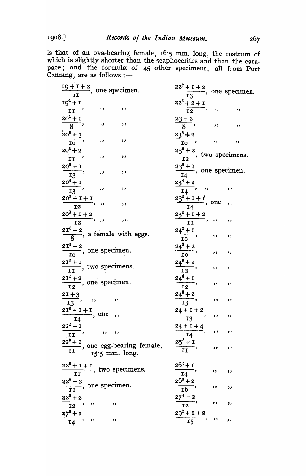1908.]

is that of an ova-bearing female,  $16.5$  mm. long, the rostrum of which is slightly shorter than the scaphocerites and than the carapace; and the formulæ of  $45$  other specimens, all from Port Canning, are as follows :-

| $\frac{19+1+2}{11}$ , one specimen.                                        | $\frac{22^2 + 1 + 2}{2}$ , one specimen.<br>13                              |
|----------------------------------------------------------------------------|-----------------------------------------------------------------------------|
| $\frac{10^2 + 1}{11},$ , ,, ,                                              | $\frac{22^3+2+1}{12}$ , , , ,                                               |
| $\frac{20^2+1}{8}$ , , , ,                                                 | $\frac{23+2}{8}$ , ,, ,,                                                    |
|                                                                            |                                                                             |
| $\frac{20^2+3}{10}$ , ,, ,                                                 | $\frac{23^{9}+2}{10}$ , , ,                                                 |
| $\frac{20^2+2}{II}$ , ,, ,,                                                | $\frac{23^2+2}{12}$ , two specimens.                                        |
| $\frac{20^2+1}{13}$ , ,, ,                                                 | $\frac{23^2+1}{14}$ , one specimen.                                         |
| $\frac{20^4 + 1}{13},$ , , , , ,                                           | $\frac{23^4+2}{14}$ , ,, ,                                                  |
|                                                                            |                                                                             |
| $\frac{20^2 + 1 + 1}{12}$ , ,, ,,                                          | $\frac{23^2+1+?}{14}$ , one                                                 |
| $\frac{20^3 + 1 + 2}{12}$ , ,,<br>$\overline{\phantom{a}}$                 | $\frac{23^2+1+2}{11}$ , ,, ,                                                |
| $\frac{2I^3+2}{8}$ , a female with eggs.                                   | $\frac{24^2+1}{10}$ , ,, ,                                                  |
| $\frac{2I^2+2}{IQ}$ , one specimen.                                        | $\frac{24^3+2}{10}$ , , ,                                                   |
| $\frac{2I^2+I}{\tau\tau}$ , two specimens.                                 | $\frac{24^8+2}{12}$ , ,<br>,,                                               |
| $\frac{2I^2+2}{I2}$ , one specimen.                                        | $\frac{24^{4}+1}{12},$ ,,<br>$, \,$                                         |
| $\frac{21+3}{13}$ , ,, ,                                                   | $\frac{24^8+2}{13}$ , ,                                                     |
|                                                                            | $\bullet$                                                                   |
| $\frac{2I^{8} + I + I}{I4}$ , one,                                         | $\frac{24+1+2}{13}$ , ,, ,                                                  |
| $\frac{22^2+1}{II}$ , , , ,                                                | $\frac{24+1+4}{11},$ ,<br>,,                                                |
| $22^3 + I$<br>$\frac{x+1}{11}$ , one egg-bearing female,<br>15'5 mm. long. | $rac{14}{25^3 + 1}$<br>$\frac{1}{\pi}$ ,<br>$\overline{\phantom{a}}$<br>,,, |
|                                                                            |                                                                             |
| $\frac{22^8 + 1 + 1}{II}$ , two specimens.                                 | $\frac{26^3 + 1}{14}$ ,<br>$\rightarrow$<br>,,                              |
| $\frac{22^2+2}{11}$ , one specimen.                                        | $\frac{26^3+2}{16}$ , ,<br>$\overline{\phantom{a}}$                         |
| $\frac{22^8+2}{12}$ , , , ,                                                | $\frac{27^4+2}{12}$ , ,<br>$\mathbf{y}$                                     |
|                                                                            |                                                                             |
| $\frac{27^8+1}{14}$ , ,, ,                                                 | $\frac{29^2 + 1 + 2}{15}$ , ,<br>در                                         |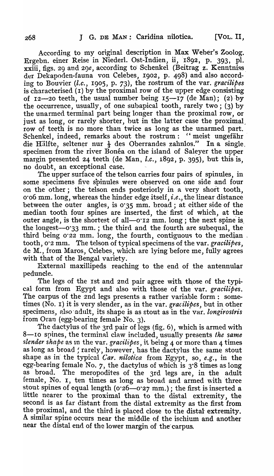According to my original description in Max Weber's Zoolog. Ergebn. einer Reise in Niederl. Ost-Indien, ii, 1892, p. 393, pl. xxiii, figs. 29 and 2g*e,* according to' Schenkel (Beitrag z. Kenntniss\_ der Dekapoden-fauna von Celebes, 1902, p. 498) and also according to Bouvier *(l.c.,* 1905, p. 73), the rostrum of the var. *gracilipes*  is characterised (I) by the proximal row of the upper edge consisting of 12-20 teeth, the usual number being  $15-17$  (de Man); (2) by the occurrence, usually, of one subapical tooth, rarely two; (3) by the unarmed terminal part being longer than the proximal row, or just as long, or rarely shorter, but in the latter case the proximal row of teeth is no more than twice as long as the unarmed part. Schenkel, indeed, remarks about the rostrum: "meist ungefähr die Hälfte, seltener nur  $\frac{1}{3}$  des Oberrandes zahnlos." In a single. specimen from the river Bonéa on the island of Saleyer the upper margin presented 24 teeth (de Man, *l.c.,* 1892, p. 395), but this is, no doubt, an exceptional case.

The upper surface of the telson carries four pairs of spinules, in some specimens five spinules were observed on one side and four on the other; the telson ends posteriorly in a very short tooth, 0'06 mm. long, whereas the hinder edge itself, *i.e .. ,* the linear distance between the outer angles, is 0'35 mm. broad; at either side of the median tooth four spines are inserted, the first of which, at the outer angle, is the shortest of all— $o$ 'I2 mm. long; the next spine is the longest--0'33 mm. ; the third and the fourth are subequal, the third being  $0.22$  mm. long, the fourth, contiguous to the median. tooth, 0·2 mm. The telson of typical specimens of the var. *gracilipes,*  de M., from Maros, Celebes, which are lying before me, fully agrees with that of the Bengal variety.

External maxillipeds reaching to the end of the antennular peduncle.

The legs of the Ist and 2nd pair agree with those of the typical form from Egypt and' also with those of the var. *gracilipes.*  The carpus of the 2nd legs presents a rather variable form: sometimes (No. I) it is very slender, as in the vat. *gracilipes,* but in other specimens, also adult, its shape is as stout as in the var. *longirostris* from Oran (egg-bearing female No. 3).

The dactylus of the 3rd pair of legs (fig. 6), which is armed with 8-10 spines, the terminal claw included, usually presents *the same slender shape* as In the var. *gracilipes,* it being 4 or more than 4 times as long as broad ; rarely, however, has the dactylus the same stout shape as in the typical *Car. nilotica* from Egypt, so, *e.g.*, in the egg-bearing female No. 7, the dactylus of which is  $3.8$  times as long as broad. The meropodites of the 3rd legs are, in the adult female, No. I, ten times as long as broad and armed with three stout spines of equal length ( $o$ '26--0'27 mm.); the first is inserted a little nearer to the proximal than to the distal extremity, the second is as far distant from the distal extremity as the first from the proximal, and the third is placed close to the distal-extremity. A similar spine occurs near the middle of the ischium and another near the distal end of the lower margin of the carpus.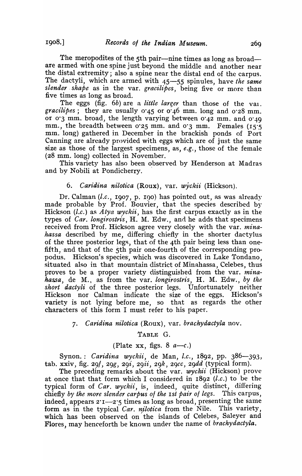The meropodites of the 5th pair—nine times as long as broad are armed with one spine just beyond the middle and another near the distal extremity; also a spine near the distal end of the carpus. The dactyli, which are armed with 45-55 spinules, have *the same slender shape* as in the var. *gracilipes*, being five or more than five times as long as broad.

The eggs (fig. *6b)* are a *little larger* than those of the val. *gracilipes*; they are usually  $0.45$  or  $0.46$  mm. long and  $0.28$  mm. or 0'3 mm. broad, the length varying between 0'42 mm. and o' 49 mm., the breadth between 0'25 mm. and 0'3 mm. Females (15·5 mm. long) gathered in December in the brackish ponds of Port Canning are already provided with eggs which are of just the same size as those of the largest specimens, as, *e.g.,* those of the female (28 mm. long) collected in November.

This variety has also been observed by Henderson at Madras and by Nobili at Pondicherry.

#### 6. *Caridina nilotica* (Roux), var. *wyckii* (Hickson).

Dr. CaIman *(l.c.,* 1907, p. 190) has pointed out, as was already made probable by Prof. Bouvier, that the species described by Hickson *(l.c.)* as *Atya wyckii,* has the first carpus exactly as in the types of *Car. longirostris*, H. M. Edw., and he adds that specimens received from Prof. Hickson agree very closely with the var. *minahassa* described by me, differing chiefly in the shorter dactylus of the three posterior legs, that of the 4th pair being less than onefifth, and that of the 5th pair one-fourth of the corresponding propodus. Hickson's species, which was discovered in Lake Tondano. situated also in that mountain district of Minahassa, Celebes, thus proves to be a proper variety distinguished from the var. *minahassa,* de M., as from the var. *longirostris,* H. M. Edw., *by the short dactyli* of the three posterior legs. Unfortunately neither Hickson nor CaIman indicate the size of the eggs. Hickson's variety is not lying before me, so that as regards the other characters of this form I must refer to his paper.

#### 7. C *aridina nilotica* (Roux), var. *brachydactyla* nov.

#### TABLE G.

#### (Plate xx, figs.  $8 \text{ } a \rightarrow c.$ )

Synon.: *Caridina wyckii*, de Man, *l.c.*, 1892, pp. 386-393, tab. xxiv, fig. 29/, *29g, 29i, 29ii, 29k, 29cc, 29dd* (typical form).

The preceding remarks about the var. *wyckii* (Hickson) prove at once that that form which I considered in 1892 *(l.c.)* to be the typical form of *Car. wyckii,* is, indeed, quite distinct, differing chiefly by the more slender carpus of the 1st pair of legs. This carpus, indeed, appears  $2^1 - 2^1$  times as long as broad, presenting the same form as in the typical *Car. nilotica* from the Nile. This variety, which has been observed on the islands of Celebes, Saleyer and Flores, may henceforth be known under the name of *brachydactyla*.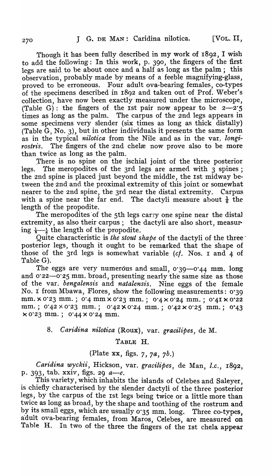Though it has been fully described in my work of 1892, I wish to add the following: In this work, p. 390, the fingers of the first legs are said to be about once and a half as long as the palm; this observation, probably made by means of a feeble magnifying-glass, proved to be erroneous. Four adult ova-bearing females, co-types of the specimens described in 1892 and taken out of Prof. Weber's collection, have now been exactly measured under the microscope, (Table G): the fingers of the 1st pair now appear to be  $2-\overline{2\cdot 5}$  times as long as the palm. The carpus of the 2nd legs appears in The carpus of the 2nd legs appears in some specimens very slender (six times as long as thick distally) (Table  $G$ , No. 3), but in other individuals it presents the same form as in the typical *nilotica* from the Nile and as in the var, longirostris. The fingers of the 2nd chelæ now prove also to be more than twice as long as the palm.

There is no spine on the ischial joint of the three posterior legs. The meropodites of the 3rd legs are armed with 3 spines; the 2nd spine is placed just beyond the middle, the 1st midway between the 2nd and the proximal extremity of this joint or somewhat nearer to the 2nd spine, the 3rd near the distal extremity. Carpus with a spine near the far end. The dactyli measure about  $\frac{1}{6}$  the The dactyli measure about  $\frac{1}{6}$  the length of the propodite.

The meropodites of the 5th legs carry one spine near the distal extremity, as also their carpus; the dactyli are also short, measur· ing  $\frac{1}{5}$  the length of the propodite.

Quite characteristic is *the stout shape* of the dactyli of the threeposterior legs, though it ought to be remarked that the shape of those of the 3rd legs is somewhat variable *(cf.* Nos. I and 4 of Table G).

The eggs are very numerous and small, 0.39-0.44 mm. long and 0.22-0.25 mm. broad, presenting nearly the same size as those of the var. *bengalensis* and *natalensis*. Nine eggs of the female No. *i* from Mbawa, Flores, show the following measurements: 0·39 mm. x 0.23 mm.; 0.4 mm x 0.23 mm.; 0.4 x 0.24 mm.; 0.41 x 0.22 mm.;  $0.42 \times 0.23$  mm.;  $0.42 \times 0.24$  mm.;  $0.42 \times 0.25$  mm.;  $0.43$  $\times$  0.23 mm.; 0.44  $\times$  0.24 mm.

### *8. Caridina nilotica* (Roux), var. *gracilipes,* de M.

TABLE H.

#### (Plate xx, figs.  $7, 7a, 7b$ .)

*Caridina wyckii,* Hickson, var. *gracilipes,* de Man, *l.c., 18*9*<sup>2</sup> ,*  p. 393, tab. xxiv, figs. 29 *a--e.* 

This variety, which inhabits the islands of Celebes and Saleyer, is chiefly characterised by the slender dactyli of the three posterior legs, by the carpus of the Ist legs being twice or a little more than twice as long as broad, by the shape and toothing of the rostrum and by its small eggs, which are usually 0.35 mm. long. Three co-types, adult ova-bearing females, from Maros, Celebes, are measured on Table H. In two of the three the fingers of the 1st chela appear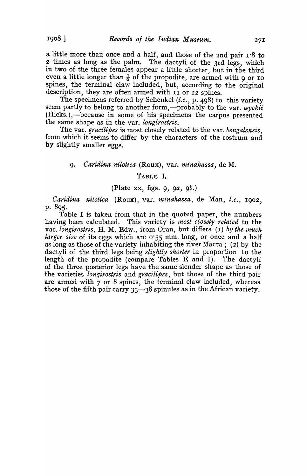a little more than once and a half, and those of the 2nd pair 1.8 to 2 times as long as the palm. The dactyli of the 3rd legs, which in two of the three females appear a little shorter, but in the third even a little longer than  $\frac{1}{4}$  of the propodite, are armed with 9 or IO spines, the terminal claw included, but, according to the original description, they are often armed with II or I2 spines.

The specimens referred by Schenkel *(l.c.*, p. 498) to this variety seem partly to belong to another form,—probably to the var. *wyckii* (Hicks.),—because in some of his specimens the carpus presented the same shape as in the var. *tongirostris.* 

1'he var. *gracilipes* is most closely related to the var. *bengalensis,*  from which it seems to differ by the characters of the rostrum and by slightly smaller eggs.

#### 9. *Caridina nilotica* (Roux), var. *minahassa*, de M.

#### TABLE I.

#### (Plate xx, figs. g, *ga, gb.)*

*Caridina nilotica* (Roux), var. *minahassa,* de Man, *l.c.,* Ig02, p.895·

Table I is taken from that in the quoted paper, the numbers having been calculated. 'fhis variety is *most closely related* to the var. *longirostris*, H. M. Edw., from Oran, but differs (1) by the much *larger size* of its eggs which are 0.55 mm. long, or once and a half as long as those of the variety inhabiting the river Macta; (2) by the dactyli of the third legs being *slightly shorter* in proportion to the length of the propodite (compare Tables E and I). The dactyli of the three posterior legs have the same slender shape as those of the varieties *longirostris* and *gracilipes*, but those of the third pair are armed with  $7$  or  $8$  spines, the terminal claw included, whereas those of the fifth pair carry  $33$ — $38$  spinules as in the African variety.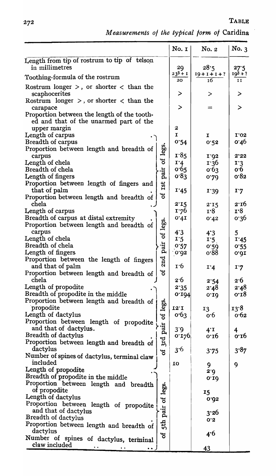*M eas-urements* of *the typical* form *01* Caridina

|                                                                                       |                  | No. $1$           | No. 2                    | No.3               |
|---------------------------------------------------------------------------------------|------------------|-------------------|--------------------------|--------------------|
| Length from tip of rostrum to tip of telson<br>in millimetres                         |                  |                   |                          |                    |
|                                                                                       |                  | 29<br>$23^3 + I$  | 28:5<br>$19 + 1 + 1 + ?$ | 27.5<br>$19^3 + ?$ |
| Toothing-formula of the rostrum                                                       |                  | 20                | 16                       | 11                 |
| Rostrum longer $>$ , or shorter $<$ than the<br>scaphocerites                         |                  | $\geq$            | >                        | ⋗                  |
| Rostrum longer $>$ , or shorter $<$ than the<br>carapace                              |                  | $\geq$            |                          | $\geq$             |
| Proportion between the length of the tooth-<br>ed and that of the unarmed part of the |                  |                   |                          |                    |
| upper margin<br>Length of carpus                                                      |                  | 2<br>$\mathbf{I}$ | 1                        | 1'02               |
| Breadth of carpus                                                                     |                  | 0.54              | 0.52                     | 0.46               |
| Proportion between length and breadth of                                              | legs.            |                   |                          |                    |
| carpus                                                                                |                  | 1.85              | I'92                     | 2.22               |
| Length of chela                                                                       | $\mathfrak{g}$   | 1.4               | 1.36                     | 1.3                |
| Breadth of chela                                                                      |                  | 0.65              | 0.63                     | 0.6                |
| Length of fingers                                                                     | pair             | 0.83              | 0.29                     | 0.82               |
| Proportion between length of fingers and                                              |                  |                   |                          |                    |
| that of palm                                                                          | Ist              | 1.45              | 1.30                     | I'7                |
| Proportion between length and breadth of                                              | ð                |                   |                          |                    |
| chela                                                                                 |                  | 2.15              | 2.15                     | 2:16               |
| Length of carpus                                                                      |                  | 1.76              | 1.8                      | 1.8                |
| Breadth of carpus at distal extremity                                                 |                  | 0.41              |                          | 0.36               |
| Proportion between length and breadth of                                              | of legs.         |                   | 0.42                     |                    |
| carpus                                                                                |                  | 4.3               |                          | $\mathbf{5}$       |
| Length of chela                                                                       |                  | 1.5               | 4.3                      |                    |
| Breadth of chela                                                                      |                  | 0.57              | 1.5                      | 1.45               |
| Length of fingers                                                                     | pair             | 0.032             | 0.59<br>0.88             | 0.55               |
| Proportion between the length of fingers                                              |                  |                   |                          | 0.01               |
| and that of palm                                                                      | 2nd              | 1.6               | I'4                      | 1.7                |
| Proportion between length and breadth of                                              | ಕ                |                   |                          |                    |
| chela                                                                                 |                  | 2.6               |                          | 2.6                |
| Length of propodite                                                                   |                  | 2.35              | 2.54                     | 2.48               |
| Breadth of propodite in the middle                                                    |                  |                   | 2.48                     |                    |
|                                                                                       |                  | 0.194             | 0.10                     | 0.18               |
| Proportion between length and breadth of<br>propodite                                 |                  | $12^{\circ}$      |                          |                    |
|                                                                                       |                  |                   | 13                       | 13.8               |
| Length of dactylus                                                                    | pair of legs.    | 0.63              | 0.6                      | 0.62               |
| Proportion between length of propodite<br>and that of dactylus.                       |                  |                   |                          |                    |
| Breadth of dactylus                                                                   |                  | 3.9               | $4^{\cdot}1$             | 4                  |
|                                                                                       | 3rd              | 0.120             | 0.16                     | 0.10               |
| Proportion between length and breadth of<br>dactylus                                  |                  |                   |                          |                    |
|                                                                                       | ಕ                | 3.6               | 3.75                     | 3.87               |
| Number of spines of dactylus, terminal claw<br>included                               |                  |                   |                          |                    |
| Length of propodite                                                                   |                  | 10                | 9                        | 9                  |
|                                                                                       |                  |                   | 2.0                      |                    |
| Breadth of propodite in the middle                                                    |                  |                   | 0.10                     |                    |
| Proportion between length and breadth<br>of propodite                                 |                  |                   |                          |                    |
| Length of dactylus                                                                    |                  |                   | 15                       |                    |
|                                                                                       |                  |                   | 0.032                    |                    |
| Proportion between length of propodite                                                |                  |                   |                          |                    |
| and that of dactylus<br>Breadth of dactylus                                           |                  |                   | 3'26                     |                    |
|                                                                                       | 5th pair of legs |                   | 0.5                      |                    |
| Proportion between length and breadth of                                              |                  |                   |                          |                    |
| dactylus                                                                              | ័ភ               |                   | 4.6                      |                    |
| Number of spines of dactylus, terminal<br>claw included                               |                  |                   |                          |                    |
|                                                                                       |                  |                   | 43                       |                    |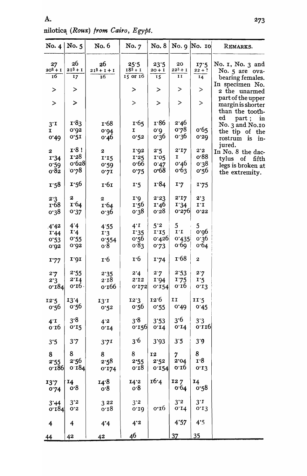| No. $4$                   | No. 5                  | No. 6                                  | No. 7                         | No. 8                      |                        | No. 9 No. $10$         | REMARKS.                                                                                                    |
|---------------------------|------------------------|----------------------------------------|-------------------------------|----------------------------|------------------------|------------------------|-------------------------------------------------------------------------------------------------------------|
| 27<br>$20^{2} + I$<br>ΙŐ  | 26<br>$2I^3 + I$<br>17 | 26<br>$213 + 1 + 1$<br>$\overline{16}$ | 25.5<br>$183 + 1$<br>15 or 16 | 23.5<br>$20 + I$<br>15     | 20<br>$22^3 + 1$<br>11 | 17.5<br>$22 + ?$<br>14 | No. 1, No. 3 and<br>No. 5 are ova-<br>bearing females.                                                      |
| ⋗                         | ⋗                      |                                        | ⋗                             | ⋗                          | >                      | >                      | In specimen No.<br>2 the unarmed                                                                            |
| $\geq$                    | >                      |                                        | >                             | >                          | >                      | $\, > \,$              | part of the upper<br>margin is shorter                                                                      |
| $3^{\cdot}1$<br>I<br>0.49 | 1.83<br>0.05<br>0.51   | 1.68<br>0.01<br>0.46                   | 1.65<br>1<br>0.52             | 1.86<br>0.0<br>0.36        | 2.46<br>0.78<br>0.36   | 0.65<br>0.50           | than the tooth-<br>ed<br>part;<br>in<br>No. 3 and No.10<br>the tip of the<br>is<br>in-<br>rostrum<br>jured. |
| 2                         | 1.8:                   | $\mathbf{z}$                           | I.92                          | 2.5                        | 2:17                   | 2.5                    | In No. 8 the dac-                                                                                           |
| 1'34                      | 1.28                   | I'15                                   | 1'25                          | 1.05                       | I                      | o.88                   | tylus of fifth                                                                                              |
| 0.59<br>0.82              | 0.628<br>`ი∙78         | 0.20<br>0.21                           | 0.66<br>0.75                  | 0.47<br>$o$ <sup>-68</sup> | 0.46<br>0.63           | 0.38<br>0.56           | legs is broken at<br>the extremity.                                                                         |
| 1.58                      | 1.56                   | 1.61                                   | 1.5                           | 1.84                       | 1.7                    | 1.75                   |                                                                                                             |
| 2'3                       | 2                      | $\overline{\mathbf{c}}$                | I'9                           | 2.23                       | 2.17                   | 2.3                    |                                                                                                             |
| r68                       | 1.64                   | 1.64                                   | 1.56                          | 1.46                       | I'34                   | I'I                    |                                                                                                             |
| 0.38                      | 0.37                   | 0.36                                   | 0.38                          | 0.28                       | 0.276                  | 0'22                   |                                                                                                             |
| 4'42                      | 44                     | 4.55                                   | $4^T$                         | 5'2                        | 5                      | 5                      |                                                                                                             |
| 1.44                      | 1.4                    | 1.3                                    | 1.35                          | $I^1$                      | $I^{\prime}I$          | 0.06                   |                                                                                                             |
| 0.53                      | 0.55                   | 0.554                                  | 0.56                          | 0.426                      | 0.435                  | 0.36                   |                                                                                                             |
| 0.032                     | 0.05                   | o.8                                    | 0.83                          | 0.73                       | o 69                   | 0.64                   |                                                                                                             |
| 1.77                      | 1.91                   | $\mathbf{r} \cdot 6$                   | 1.6                           | 1.74                       | 1.68                   | $\boldsymbol{2}$       |                                                                                                             |
| 2.7                       | 2.55                   | 2.35                                   | 2.4                           | 2.7                        | 2.53                   | 2.7                    |                                                                                                             |
| 2.3                       | 2.14                   | 2.18                                   | 2'12                          | 1.94                       | 1.75                   | 1.5                    |                                                                                                             |
| 0.184                     | $0.10 \cdot$           | 0.166                                  | 0.172                         | 0.154                      | 0.10                   | 0.13                   |                                                                                                             |
| 12.5<br>0.56              | 13.4<br>0.56           | 13.1<br>0.52                           | 12.3<br>0.56                  | 12.6<br>0.55               | II<br>0.49             | 11.5<br>0.45           |                                                                                                             |
| $4^T$                     | 3.8                    |                                        | 3.8                           | 3'53                       | 3 <sup>6</sup>         | 3'3                    |                                                                                                             |
| 0.16                      | 0.15                   | $4^{\cdot}2$<br>0.14                   | 0.150                         | 0.14                       | 0.14                   | 0.110                  |                                                                                                             |
| 3.5                       | 3.7                    | 3'71                                   | 3.6                           | 3'93                       | 3.5                    | 3.9                    |                                                                                                             |
| 8                         | 8                      | 8                                      | 8                             | <b>12</b>                  | 7                      | 8                      |                                                                                                             |
| 2.55                      | 2.56                   | 2.58                                   | 2.55                          | 2.52                       | 2.04                   | 1.8                    |                                                                                                             |
| 0.186                     | 0.184                  | 0.124                                  | 0.18                          | 0.154                      | 0.10                   | 0.13                   |                                                                                                             |
| 13.7<br>0.74              | 14<br>o.8              | 14.8<br>0.8                            | 14'2<br>0.8                   | 16.4                       | 127<br>0.64            | 14<br>0'58             |                                                                                                             |
| 3'44<br>0.184             | 3'2<br>0.5             | 322<br>0.18                            | $3^{\cdot}2$<br>0.10          | 0.16                       | $3^{\cdot 2}$<br>0.14  | $3^{\cdot}$<br>0.13    |                                                                                                             |
| 4                         | 4                      | 4.4                                    | $4^{\cdot 2}$                 |                            | 4'57                   | 4.5                    |                                                                                                             |
|                           | 42                     |                                        | 46                            |                            | 37                     | 35                     |                                                                                                             |
| 44                        |                        | 42                                     |                               |                            |                        |                        |                                                                                                             |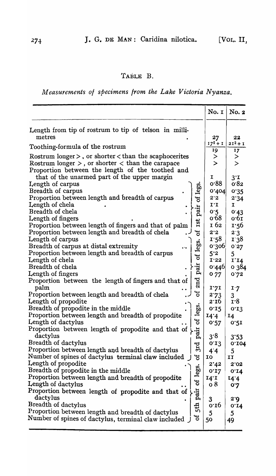### TABLE B.

*Measurements of specimens from the Lake Victoria Nyanza.* 

|                                                                                                           | No. I        | No. 2      |
|-----------------------------------------------------------------------------------------------------------|--------------|------------|
| Length from tip of rostrum to tip of telson in milli-<br>metres                                           | 27           | 22         |
| Toothing-formula of the rostrum                                                                           | $17^2 + 1$   | $2I^2 + I$ |
| Rostrum longer $>$ , or shorter $<$ than the scaphocerites                                                | 19<br>>      | 17<br>>    |
| Rostrum longer $>$ , or shorter $<$ than the carapace<br>Proportion between the length of the toothed and | $\mathbf{r}$ | $\geq$     |
| that of the unarmed part of the upper margin                                                              | 1            | 3r         |
| Length of carpus                                                                                          | 0.88         | 0.82       |
| Breadth of carpus                                                                                         | 0.404        | 0.35       |
| Proportion between length and breadth of carpus<br>đ                                                      | 2.5          | 2.34       |
| Length of chela                                                                                           | 1.1          | I          |
| pair<br>Breadth of chela                                                                                  | 0.5          | 0.43       |
| Length of fingers                                                                                         | 0.68         | 0.61       |
| Ist<br>Proportion between length of fingers and that of palm                                              | I 62         | 1.56       |
| Proportion between length and breadth of chela<br>ð                                                       | 2.2          | 2.3        |
| Length of carpus                                                                                          | 1.58         | <b>138</b> |
| legs.<br>Breadth of carpus at distal extremity                                                            | 0.300        | 0'27       |
| Proportion between length and breadth of carpus<br>đ                                                      | 5.2          | 5          |
| Length of chela                                                                                           | I'22         | I'I4       |
| pair<br>Breadth of chela                                                                                  | 0.440        | 0,384      |
| Length of fingers                                                                                         | 077          | 0.72       |
| 2nd<br>Proportion between the length of fingers and that of                                               |              |            |
| palm<br>ð                                                                                                 | 1.21         | 1.7        |
| Proportion between length and breadth of chela<br>Length of propodite                                     | 2.73<br>2.16 | 3<br>1.8   |
| Breadth of propodite in the middle                                                                        | 0.15         | 0.13       |
| legs.<br>Proportion between length and breadth of propodite                                               | 14.4         | 14         |
| ಕ<br>Length of dactylus                                                                                   | 0.57         | 0.21       |
| Proportion between length of propodite and that of                                                        |              |            |
| pair<br>dactylus                                                                                          | 3.8          | 3:53       |
| Breadth of dactylus                                                                                       | 0.13         | 0.104      |
| 3rd<br>3<br>Proportion between length and breadth of dactylus                                             | 4'4          | 5          |
| Number of spines of dactylus terminal claw included<br>"ಕ                                                 | 10           | IJ         |
| Length of propodite                                                                                       | 2.42         | 2.02       |
| Jegs.<br>Breadth of propodite in the middle                                                               | 0.17         | 0.14       |
| Proportion between length and breadth of propodite                                                        | 14.1         | 14.4       |
| đ<br>Length of dactylus                                                                                   | 08           | 0.2        |
| pair<br>Proportion between length of propodite and that of                                                |              |            |
| dactylus                                                                                                  | 3            | 2.3        |
| 5th<br>Breadth of dactylus                                                                                | 0.10         | 0.14       |
| Proportion between length and breadth of dactylus                                                         | $\mathbf{5}$ | 5          |
| ಕ<br>Number of spines of dactylus, terminal claw included                                                 | 50           | 49         |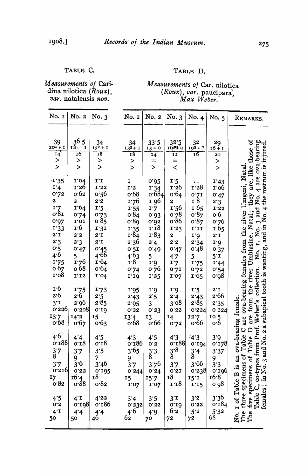#### TABLE C.

#### TABLE D.

Measurements of Caridina nilotica (Roux),<br>var. natalensis nov.

Measurements of Car. nilotica<br>(Roux), var. paucipara,<br>Max Weber.

| No. I                                                                                                                               | No. 2                                                                                                                | No. 3                                                                                                                                  | No. I                                                                                                                             | No. 2                                                                                                    | No. 3                                                                                                         | No. 4                                                                                                                  | No. 5                                                                                                                      | REMARKS.                                                                                                                                                                                              |
|-------------------------------------------------------------------------------------------------------------------------------------|----------------------------------------------------------------------------------------------------------------------|----------------------------------------------------------------------------------------------------------------------------------------|-----------------------------------------------------------------------------------------------------------------------------------|----------------------------------------------------------------------------------------------------------|---------------------------------------------------------------------------------------------------------------|------------------------------------------------------------------------------------------------------------------------|----------------------------------------------------------------------------------------------------------------------------|-------------------------------------------------------------------------------------------------------------------------------------------------------------------------------------------------------|
| 39<br>$20^{2} + I$<br>$\overline{14}$<br>><br>>                                                                                     | 365<br>18 <sub>1</sub><br>1<br>$\overline{16}$<br>$\geq$<br>$\geq$                                                   | 34<br>$17^2 + 1$<br>18<br>><br>$\geq$                                                                                                  | 34<br>$13^{3}+1$<br>$\overline{18}$<br>$\frac{1}{2}$                                                                              | 33.5<br>$13 + 0$<br>14<br>$=$<br>$\geq$                                                                  | 32.5<br><b>16科 0</b><br>12<br>$=$<br>$\,<$                                                                    | 32<br>$193 + ?$<br>$\overline{16}$                                                                                     | 29<br>$16 + 1$<br>20<br>$\genfrac{}{}{0pt}{}{>}{>}$                                                                        | are, like those of<br>No. 4 are ova-bearing<br>the rostrum is injured.                                                                                                                                |
| $\cdot$ I'35<br>1.4<br>0.72<br>$\boldsymbol{2}$<br>I'7<br>0.81<br>0.02<br>I'33<br>$2^{\cdot}1$<br>2.3<br>0.2<br>4.6<br>1.75<br>о 67 | I'04<br>1.26<br>0.62<br>2<br>1.64<br>0.74<br>1.01<br>1.6<br>2.2<br>2.3<br>0.47<br>$5\overline{)}$<br>1.76<br>$0\,68$ | $I^{\bullet}I$<br>$1'22$<br>o:56<br>2.2<br>1.5<br>0.73<br>o 85<br>1.31<br>$2^{\cdot}I$<br>$2^{\cdot}1$<br>0.45<br>4.66<br>1.64<br>0.64 | I<br>I'2<br>0.68<br>1.76<br>I.55<br>0.84<br>0.89<br>1'35<br>1.84<br>2.36<br>0.51<br>4.63<br>$\mathbf{r} \cdot \mathbf{8}$<br>0.74 | 0.025<br>I'34<br>0.684<br>1 96<br>1.7<br>0.03<br>0.05<br>1.18<br>1.83<br>2.4<br>0.49<br>5<br>1.6<br>0.76 | I.5<br>1.26<br>0.64<br>2<br>1'56<br>0.78<br>0.86<br>I'23<br>$\mathbf{z}$<br>2.5<br>0.47<br>4.7<br>1.7<br>0.21 | $\ddot{\phantom{1}}$<br>1.58<br>0.21<br>I 8<br>165<br>0.87<br>0.87<br>I'II<br>1.6<br>2.34<br>0.48<br>5<br>1.75<br>0.72 | I'43<br>1.00<br>0.47<br>2.3<br>$1.32$<br>0.6<br>0.76<br>165<br>$2^{\cdot}1$<br>I'<br>0.37<br>$5^{\circ}$ I<br>I.44<br>0.54 | are ova-bearing females from the river Umgeni, Natal.<br>are from the river Umhlasine, Natal; they are, like<br>they<br>and.<br>$\frac{4}{6}$<br>subapical tooth is wanting, and in N<br>No. 1, No. 3 |
| r·o8<br>$\mathbf{r} \cdot 6$<br>2.6<br>$3^{\cdot}1$<br>0.226<br>13.7<br>0.68                                                        | I'12<br>1.75<br>2.6<br>2.96<br>0.508<br>I4'2<br>0.67                                                                 | I'04<br>1.73<br>2.5<br>2.85<br>0.10<br>15<br>0.63                                                                                      | 1.10<br>1.95<br>2.43<br>2.95<br>0.32<br>13'4<br>o.68                                                                              | 1.25<br>1.3<br>2.5<br>3<br>0.33<br><b>13</b><br>0.66                                                     | 1.02<br>1'9<br>2.4<br>3.08<br>0'22<br>14<br>0.72                                                              | I'05<br>1.5<br>2.43<br>2.85<br>0.224<br>12.7<br>0.66                                                                   | o <sup>.</sup> g8<br>$2^{\cdot}I$<br>2.66<br>2.35<br>0224<br>105<br>0.6                                                    | collection.<br>$\mathbf{D}$                                                                                                                                                                           |
| 4.6<br>0.188<br>$\frac{3}{8}$ '7<br>3.7<br>$\left 0.310\right $<br>17<br>0.82                                                       | 4.4<br>0.18<br>3.7<br>9<br>3.6<br>0.55<br>16 <sup>.</sup> 4<br>0.88                                                  | 4.5<br>0.18<br>3.5<br>7<br>3*46<br>0.195<br><b>18</b><br>0.82                                                                          | 4.3<br>0.186<br>3.65<br>$\frac{9}{3}$ .7<br>0.244<br>15<br>1'07                                                                   | 4.5<br>0.5<br>$\frac{3}{8}$ :3<br>3.76<br>0.34<br>15.7<br>I'07                                           | 4.3<br>0.188<br>$3^{8}$<br>3'7<br>0.51<br><b>18</b><br>1.18                                                   | 4.3<br>0.104<br>$\frac{3}{8}$ 4<br>3.66<br>0.238<br>15T<br>1.15                                                        | 3.9<br>0.128<br>3'37<br>$\frac{9}{3}$ 3<br>0.100<br>16.8<br>o <sup>.</sup> 98                                              | B is an ova-bearing female.<br>-types from Prof. Weber's<br>No. 3 and No. 2 a subapical<br>Table C<br>Table<br>three specimens of<br>ð<br>ens<br>five specime<br>Table C, $co-1$<br>females; in 1     |
| 4.5<br>0.3<br>$4^T$<br>50                                                                                                           | $4^T$<br>0.198<br>4.4<br>50                                                                                          | 4'22<br>0.186<br>4'4<br>46                                                                                                             | 3'4<br>0.232<br>4.6<br>$6\overline{2}$                                                                                            | 3.5<br>0.32<br>4.9<br>70                                                                                 | $3^{\prime}1$<br>0.10<br>6.2<br>72                                                                            | 3'2<br>0.32<br>5.3<br>$7^2$                                                                                            | 3'36<br>0.184<br>$5'3^2$                                                                                                   | No. 1 of Table<br>The<br>The                                                                                                                                                                          |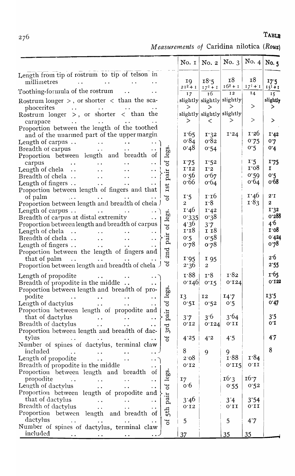TABLE

Measurements of Caridina nilotica (Roux)

|                                                                                                                               | No. 1           | No. 2                  | No. $3$                    | No. $4$      | No. 5           |
|-------------------------------------------------------------------------------------------------------------------------------|-----------------|------------------------|----------------------------|--------------|-----------------|
| Length from tip of rostrum to tip of telson in                                                                                |                 |                        |                            |              |                 |
| millimetres<br>$\sim$ $\sim$                                                                                                  | 19              | 18.5                   | 18                         | 18           | 17.5            |
| Toothing-formula of the rostrum<br>$\ddot{\phantom{0}}$                                                                       | $21^2 + 1$      | $17^2 + 1$             | $16^2 + 1$                 | $17^{1} + 1$ | $151 + 1$       |
|                                                                                                                               | 17              | 16                     | 12<br>slightly             | 14           | 15 <sup>7</sup> |
| Rostrum longer $>$ , or shorter $<$ than the sca-                                                                             | >               | slightly slightly<br>> | >                          | >            | slightly<br>ゝ   |
| phocerites<br>and the state of the state<br>Rostrum longer $>$ , or shorter $<$ than the                                      |                 |                        | slightly slightly slightly |              |                 |
| carapace<br><b>Contract Contract</b><br>$\bullet$ $\bullet$                                                                   | $\geq$          | $\,<\,$                | >                          | $\rm{>}$     | ゝ               |
| Proportion between the length of the toothed                                                                                  |                 |                        |                            |              |                 |
| and of the unarmed part of the upper margin                                                                                   | 1.65            | 1.32                   | 1'24                       | 1.50         | I'42            |
| Length of carpus $\ldots$<br>$\sim$ $\sim$<br>$\ddotsc$                                                                       | 0.84            | 0.82                   |                            | 0.75         | 0.7             |
| Breadth of carpus<br>legs.<br>$\bullet$ $\bullet$ $\bullet$                                                                   | 0.48            | 0.54                   |                            | 0.5          | 0.4             |
| Proportion between length and breadth of                                                                                      |                 |                        |                            |              |                 |
| ಕ<br>carpus<br>$\ddot{\phantom{1}}$                                                                                           | 1.75            | 1.52                   |                            | 1.5          | 1.75            |
| Length of chela $\ldots$<br>$\ddot{\phantom{0}}$<br>pair<br>$\ddot{\phantom{1}}$                                              | I'12            | 1'2                    |                            | 1.08         | $\mathbf{I}$    |
| Breadth of chela<br>$\mathcal{L}^{\text{max}}$ and $\mathcal{L}^{\text{max}}$<br>$\ddot{\phantom{0}}$<br>$\ddot{\phantom{1}}$ | 0.56<br>0.66    | 0.67                   |                            | 0.26<br>0.64 | 0.5<br>0.68     |
| Length of fingers<br>$\ddot{\phantom{a}}$<br>$\ddot{\phantom{a}}$<br>Ist                                                      |                 | 0.64                   |                            |              |                 |
| Proportion between length of fingers and that<br>of palm                                                                      | 1.5             | 1.10                   |                            | 1.46         | $2^{\cdot}$ I   |
| 5<br>Proportion between length and breadth of chela                                                                           | $\overline{a}$  | 1.8                    |                            | 1.83         | $\mathbf{2}$    |
| Length of carpus $\dots$<br><b><i>Committee States</i></b>                                                                    | 1.46            | 1.42                   |                            |              | 1'32            |
| legs.<br>Breadth of carpus at distal extremity                                                                                | 0.335           | 0.38                   |                            |              | 0.288           |
| Proportion between length and breadth of carpus<br>đ                                                                          | 4.36            | 3.7                    |                            |              | $4^{6}$         |
| Length of chela                                                                                                               | 1.18            | 1 18                   |                            |              | 1.08            |
| pair<br>Breadth of chela<br>$\ddot{\phantom{0}}$<br>$\ddot{\phantom{0}}$                                                      | 0.5             | 0.58                   |                            |              | 0.424           |
| Length of fingers $\ldots$<br>$\sim 10^{-1}$<br>$\ddot{\phantom{0}}$                                                          | 0.78            | 0.78                   |                            |              | 0.78            |
| 2nd<br>Proportion between the length of fingers and                                                                           |                 |                        |                            |              | 2.6             |
| that of palm<br>$\ddot{\phantom{a}}$<br>$\bullet$ $\bullet$<br>đ                                                              | 1.95            | 195                    |                            |              | 2.55            |
| Proportion between length and breadth of chela J                                                                              | 2.36            | $\overline{a}$         |                            |              |                 |
| Length of propodite                                                                                                           | $\mathbf{I}$ 88 | 1.8                    | 1.82                       |              | 1.65            |
| Breadth of propodite in the middle<br>$\bullet$ $\bullet$                                                                     | 0.146           | 0.15                   | 0.124                      |              | 0.132           |
| legs.<br>Proportion between length and breadth of pro-                                                                        |                 |                        |                            |              |                 |
| podite<br>$\sim$ 10 $\pm$                                                                                                     | 13              | 12                     | 14.7                       |              | 13.5            |
| $\sigma$<br>Length of dactylus                                                                                                | 0.51            | 0.52                   | 0.5                        |              | 0'47            |
| Proportion between length of propodite and<br>pair<br>that of dactylus                                                        | 3.7             | 3.6                    | 3.64                       |              | 3.5             |
| Breadth of dactylus                                                                                                           | 0.12            | 0.124                  | 0.11                       |              | 0.1             |
| 3rd<br>Proportion between length and breadth of dac-                                                                          |                 |                        |                            |              |                 |
| tylus<br>ð<br>$\ddot{\phantom{0}}$                                                                                            | 4.25            | $4^{\cdot}2$           | 4:5                        |              | 4.7             |
| Number of spines of dactylus, terminal claw                                                                                   |                 |                        |                            |              |                 |
| included                                                                                                                      | 8               | 9                      | 9                          |              | 8               |
| Length of propodite                                                                                                           | 2.08            |                        | 1.88                       | 1.84         |                 |
| Breadth of propodite in the middle                                                                                            | 0.12            |                        | 0.115                      | 0.11         |                 |
| legs.<br>Proportion between length and breadth<br>of                                                                          |                 |                        |                            |              |                 |
| propodite<br>$\sim$ .<br>$\ddot{\phantom{a}}$<br>$\ddot{\phantom{0}}$                                                         | 17              |                        | 16.3                       | 16.7         |                 |
| ð<br>Length of dactylus<br>$\ddot{\phantom{0}}$<br>$\ddot{\phantom{a}}$<br>$\ddot{\phantom{a}}$                               | 0.6             |                        | 0.55                       | 0.52         |                 |
| Proportion between length of propodite and<br>pair<br>that of dactylus                                                        | 3'36            |                        | 3'4                        | 3'54         |                 |
| Breadth of dactylus<br>$\ddot{\phantom{a}}$                                                                                   | 0.12            |                        | 0.11                       | 0.11         |                 |
| 5 <sup>th</sup><br>$\ddot{\phantom{0}}$<br>Proportion between length and breadth of                                           |                 |                        |                            |              |                 |
| dactylus<br>đ<br>$\ddot{\phantom{a}}$                                                                                         | 5               |                        | 5                          | 4.7          |                 |
| Number of spines of dactylus, terminal claw                                                                                   |                 |                        |                            |              |                 |
| included                                                                                                                      | 37              |                        | 35                         | 35           |                 |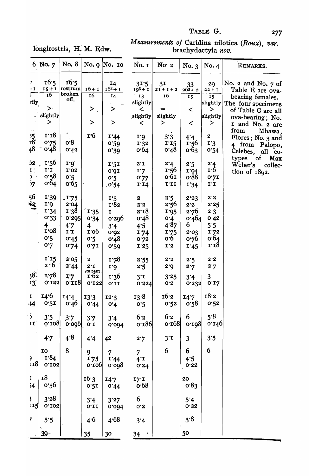# longirostris, H. M. Edw.

# Measurements of Caridina nilotica (Roux), var.<br>brachydactyla nov.

| 6                                    | $\sqrt{N}$ o. $\sqrt{2}$ | No. 8           |                                                  | No. 9 No. 10                            | No. I             | No 2                           | No. 3           | No. 4                   | REMARKS.                                   |
|--------------------------------------|--------------------------|-----------------|--------------------------------------------------|-----------------------------------------|-------------------|--------------------------------|-----------------|-------------------------|--------------------------------------------|
| 7.<br>- I                            | 16.5<br>$15 + 1$         | 16.5<br>rostrum | $16 + 1$                                         | $\mathbf{r}$<br><b>14</b><br>$16^2 + 1$ | 31.5<br>$193 + 1$ | 3 <sub>I</sub><br>$21 + 1 + 2$ | 33<br>$263 + 2$ | 29<br>$22 + I$          | No. $2$ and No. $7$ of<br>Table E are ova- |
| Г                                    | 16                       | broken<br>off.  | 16                                               | 14                                      | 13                | 16                             | 15              | 15                      | bearing females.                           |
| itly                                 | >∙                       |                 | $\bf{>}$                                         | >                                       | slightly<br>く     | $=$                            | $\,<\,$         | slightly <br>>          | The four specimens                         |
|                                      | slightly                 |                 |                                                  |                                         | slightly          | slightly                       |                 | slightly                | of Table G are all<br>ova-bearing; No.     |
|                                      | >                        |                 | $\bf{>}$                                         | $\geq$                                  | $\,<\,$           | >                              | $\,<\,$         | ⋗                       | I and No. 2 are                            |
|                                      | 1.18                     |                 | $\mathbf{r}$ .6                                  |                                         |                   |                                |                 |                         | from<br>Mbawa,                             |
| 35<br>$\overline{3}$                 | 0.75                     | o.8             |                                                  | 1'44<br>0.59                            | 1.0<br>1.32       | 3'3<br>$I^1$                   | 4.4<br>1.56     | $\boldsymbol{2}$<br>I'3 | Flores; No. 3 and                          |
| 48                                   | 0.48                     | 0.42            |                                                  | 0'39                                    | 0.64              | 0.48                           | 0.63            | 0.54                    | 4 from Palopo,<br>Celebes,<br>all co-      |
|                                      |                          |                 |                                                  |                                         |                   |                                |                 |                         | types<br>of<br>Max                         |
| $\overline{2}$                       | 1.56                     | 1.0             |                                                  | 1.51                                    | $2^{\cdot}1$      | 2.4                            | 2.5             | 2.4                     | Weber's<br>collec-                         |
| $\mathbb{C}$<br>$\hat{\mathbf{J}}$ . | $I^{\dagger}I$           | I'02            |                                                  | 0.01                                    | I'7               | 1.56                           | I'94            | 1.6                     | tion of 1892.                              |
| 57                                   | 0.58<br>0.64             | 0.5<br>0.65     |                                                  | 0.5                                     | 0.77              | 0.61<br>111                    | 0.88            | 0.21                    |                                            |
|                                      |                          |                 |                                                  | 0.54                                    | I <sup>T</sup>    |                                | 1'34            | 1.1                     |                                            |
| 56                                   | <b>1'39</b>              | .175            |                                                  | $I^{\prime}5$                           | $\boldsymbol{2}$  | 2.5                            | 2.23            | 2'2                     |                                            |
| 呚                                    | 1.0                      | 2'04            |                                                  | 1.82                                    | 2.2               | 2.56                           | 2.2             | 2.25                    |                                            |
|                                      | I'34                     | 1.38            | $\sqrt{1.35}$                                    | I                                       | 2.18              | I'95                           | 2.76            | 2.3                     |                                            |
|                                      | 0.33                     | 0.295           | 0.34                                             | 0.300                                   | 0.48              | 0.4                            | 0.464           | 0.42                    |                                            |
|                                      | $\overline{\mathbf{4}}$  | 4.7             | 4                                                | $3^4$                                   | 4.5               | 4.87                           | 6               | 5.5                     |                                            |
|                                      | 1.08                     | $I^{\prime}I$   | 1.06                                             | 0.05                                    | 1.74              | 1.75                           | 2.03            | 1.72                    |                                            |
|                                      | 0.5<br>0.7               | 0.45            | 0.5                                              | 0.48                                    | 0.72              | 0.6                            | 0.76            | 0.64<br>1.18            |                                            |
|                                      |                          | 0.74            | 0.7I                                             | 0.59                                    | 1.25              | I'2                            | I.45            |                         |                                            |
|                                      | 115                      | 2.05            | $\boldsymbol{2}$                                 | 1.78                                    | 2.55              | 2.2                            | 2.5             | 2.2                     |                                            |
|                                      | 2.6                      | 2.44            | $2^{\cdot}1$                                     | $\mathbf{r}$                            | 2.5               | 2.0                            | 2.7             | 2.7                     |                                            |
| $58^\circ$                           | 1.78                     | I'7             | $(4th\ pair).$<br>$\mathbf{I} \cdot \mathbf{62}$ | 1.36                                    | $3^{\cdot}1$      | 3.25                           | 3'4             | 3                       |                                            |
| 13 <sup>°</sup>                      | 0.133                    | 0.118           | 0.133                                            | 0.11                                    | 0.224             | 0.5                            | 0.232           | 0.17                    |                                            |
| L.                                   | 14.6                     |                 |                                                  |                                         |                   | 16.2                           |                 | 18.2                    |                                            |
| -14                                  | 0.51                     | 14.4<br>0.46    | 13.3<br>0.44                                     | 12.3<br>0.4                             | 13.8<br>0.5       | 0.52                           | 14.7<br>0.58    | 0.52                    |                                            |
|                                      |                          |                 |                                                  |                                         |                   |                                |                 |                         |                                            |
| $\overline{\mathbf{z}}$              | 3.5                      | 3.7             | 3.7                                              | 3'4                                     | 6.2               | 6.2                            | 6               | 5.8                     |                                            |
| $\mathbf{r}$                         | 0.108                    | 0.000           | 0.1                                              | 0.004                                   | 0.186             | 0.168                          |                 | 0.198 0.146             |                                            |
|                                      | 47                       | 4.8             | 4.4                                              | 42                                      | 2.7               | $3^{\cdot}I$                   | 3               | 3.5                     |                                            |
|                                      |                          |                 |                                                  |                                         |                   |                                |                 |                         |                                            |
|                                      | 10                       | 8               | 9                                                | 7                                       | $\overline{7}$    | 6                              | 6               | 6                       |                                            |
| €<br>r18                             | I.84                     |                 | 1.75                                             | I.44                                    | $4^{\cdot}I$      |                                | 4.5             |                         |                                            |
|                                      | 0.103                    |                 | 0.100                                            | 0.098                                   | 0.24              |                                | 0.32            |                         |                                            |
| D.                                   | <b>18</b>                |                 | 16.3                                             | 14.7                                    | 17T               |                                | 20              |                         |                                            |
| 54                                   | 0.56                     |                 | 0.51                                             | 0.44                                    | o.68              |                                | 0.83            |                         |                                            |
|                                      |                          |                 |                                                  |                                         |                   |                                |                 |                         |                                            |
| 5                                    | 3.28                     |                 | 3'4                                              | 3'27                                    | 6                 |                                | 5'4             |                         |                                            |
| II <sub>5</sub>                      | 0.103                    |                 | 0.11                                             | 0.004                                   | 0.5               |                                | 0.22            |                         |                                            |
| 7                                    | 5.5                      |                 | 4.6                                              | 4.68                                    |                   |                                | 3.8             |                         |                                            |
|                                      |                          |                 |                                                  |                                         | 3'4               |                                |                 |                         |                                            |
|                                      | $39 -$                   |                 | 35                                               | 30                                      | 34<br>$\pmb{r}$   |                                | 50              |                         |                                            |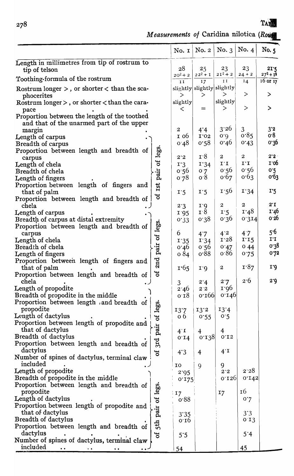**TA.** 

# *Measurements of Caridina nilotica (Row*

|                                                                                           |               | No. $1$                 | No. 2                                  | No. 3            | No. $4$          | No. 5                |
|-------------------------------------------------------------------------------------------|---------------|-------------------------|----------------------------------------|------------------|------------------|----------------------|
| Length in millimetres from tip of rostrum to                                              |               |                         |                                        |                  |                  |                      |
| tip of telson                                                                             |               | 28                      | 25<br>$22^2 + I$                       | 23<br>$2I^2 + 2$ | 23               | 21.5<br>$27^2 + 1^2$ |
| Toothing-formula of the rostrum                                                           |               | $20^2 + 2$<br>$I$ $I$   | 17                                     | $I$ $I$          | $24 + 2$<br>14   | $16$ or $17$         |
| Rostrum longer $>$ , or shorter $<$ than the sca-<br>phocerites                           |               | $\geq$                  | slightly slightly slightly<br>$\rm{>}$ | $\geq$           | $\geq$           | $\bf{>}$             |
| Rostrum longer $>$ , or shorter $<$ than the cara-<br>pace                                |               | slightly<br>$\,<\,$     | $=$                                    | slightly<br>>    | $\rm{>}$         | $\geq$               |
| Proportion between the length of the toothed<br>and that of the unarmed part of the upper |               |                         |                                        |                  |                  |                      |
| margin                                                                                    |               | $\overline{\mathbf{c}}$ | $4^{\cdot}4$                           | 3'26             | 3                | 3'2                  |
| Length of carpus                                                                          |               | 1 0 b                   | I'02                                   | 0.0              | 0.85             | o.8                  |
| Breadth of carpus                                                                         |               | 0.48                    | 0.58                                   | 0.40             | 0.43             | 0.30                 |
| Proportion between length and breadth of                                                  | pair of legs. | 2.2                     | 1.8                                    | $\boldsymbol{2}$ | $\boldsymbol{2}$ | $2^{\cdot}2^{\cdot}$ |
| carpus<br>Length of chela                                                                 |               | 1.3                     | 1'34                                   | 1.1              | $I^T$            | 1.06                 |
| Breadth of chela                                                                          |               | 0.56                    | 0.7                                    | 0.56             | 0.56             | 0.5                  |
| Length of fingers                                                                         |               | 0.78                    | 0.8                                    | 0.67             | 0.63             | 0.63                 |
| Proportion between length of fingers and                                                  | Ist           |                         |                                        |                  |                  |                      |
| that of palm                                                                              |               | 1.5                     | 1.5                                    | 1.56             | 1.34             | 1.5                  |
| ಕ<br>Proportion between length and breadth of                                             |               |                         |                                        |                  |                  |                      |
| chela                                                                                     |               | 2.3                     | 1.0                                    | $\boldsymbol{2}$ | $\boldsymbol{2}$ | $2^{\cdot}$ I        |
| Length of carpus                                                                          |               | 1.95                    | $\mathbf{I} \cdot \mathbf{8}$          | 1.5              | 1.48             | 1.40<br>0.50         |
| Breadth of carpus at distal extremity                                                     |               | 0.33                    | 0.38                                   | 0.36             | 0.314            |                      |
| 2nd pair of legs<br>Proportion between length and breadth of<br>carpus                    |               | 6                       |                                        | $4^{\cdot}2$     | 4.7              | 5.6                  |
| Length of chela                                                                           |               |                         | 4.7<br>1.34                            | 1.28             | 1.15             | $I^{\prime}I$        |
| Breadth of chela                                                                          |               | 1.35<br>0.46            | 0.56                                   | 0.47             | 044              | 0.38                 |
| Length of fingers                                                                         |               | 084                     | 0.88                                   | 0.86             | 0.75             | 0.72                 |
| Proportion between length of fingers and                                                  |               |                         |                                        |                  |                  |                      |
| that of palm                                                                              |               | 1.65                    | 1.0                                    | $\boldsymbol{2}$ | 1.87             | I'                   |
| ð<br>Proportion between length and breadth of                                             |               |                         |                                        |                  |                  |                      |
| chela                                                                                     |               | 3                       | 2.4                                    | 2.7              | 2.6              | 2.9                  |
| Length of propodite                                                                       |               | 2.46                    | $2^{\cdot}2$                           | 1.96             |                  |                      |
| Breadth of propodite in the middle                                                        |               | 0.18                    | 0.100                                  | 0.140            |                  |                      |
| Proportion between length and breadth of                                                  |               |                         |                                        |                  |                  |                      |
| propodite                                                                                 |               | 13.7                    | 13'2                                   | 13.4             |                  |                      |
| Length of dactylus                                                                        |               | 0 <sub>6</sub>          | 0.55                                   | 0.5              |                  |                      |
| pair of legs<br>Proportion between length of propodite and                                |               |                         |                                        |                  |                  |                      |
| that of dactylus                                                                          |               | 14                      | $\overline{4}$                         | 4                |                  |                      |
| Breadth of dactylus<br>3Id                                                                |               | 0.14                    | 0.138                                  | 0.13             |                  |                      |
| Proportion between length and breadth of<br>dactylus                                      |               |                         |                                        |                  |                  |                      |
| $\sigma$<br>Number of spines of dactylus, terminal claw                                   |               | 4.3                     | 4                                      | $4^{\cdot}1$     |                  |                      |
| included                                                                                  |               | 10                      |                                        | 9                |                  |                      |
| Length of propodite                                                                       |               | 2.95                    | 9                                      | 2.5              | 2.28             |                      |
| Breadth of propodite in the middle                                                        |               | 0.175                   |                                        | 0.130            | 0.142            |                      |
| Proportion between length and breadth of                                                  |               |                         |                                        |                  |                  |                      |
| propodite                                                                                 |               | 17                      |                                        | 17               | 16               |                      |
| Length of dactylus                                                                        |               | 0.88                    |                                        |                  | 0.7              |                      |
| Proportion between length of propodite and                                                |               |                         |                                        |                  |                  |                      |
| that of dactylus                                                                          |               | 3'35                    |                                        |                  | $3^{\circ}3$     |                      |
| 5th pair of legs<br>Breadth of dactylus                                                   |               | 0.10                    |                                        |                  | 0.13             |                      |
| Proportion between length and breadth of                                                  |               |                         |                                        |                  |                  |                      |
| dactylus<br>ð                                                                             |               | 5.5                     |                                        |                  | 5'4              |                      |
| Number of spines of dactylus, terminal claw                                               |               |                         |                                        |                  |                  |                      |
| included                                                                                  |               | 54                      |                                        |                  | 45               |                      |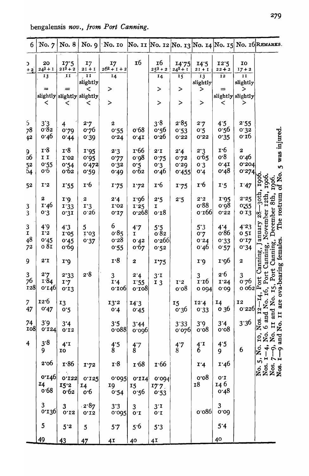bengalensis nov., from Port Canning.

| 6                              | No. 7                                              | No. 8                           | No. $9$                        | $\Delta$ No. 10                  |                                               |                                     |                                               |                            |                                             |                                            | No. 11 No. 12 No. 13 No. 14 No. 15 No. 16 REMARKS.                            |
|--------------------------------|----------------------------------------------------|---------------------------------|--------------------------------|----------------------------------|-----------------------------------------------|-------------------------------------|-----------------------------------------------|----------------------------|---------------------------------------------|--------------------------------------------|-------------------------------------------------------------------------------|
| $\mathbf{C}$<br>$+2$           | 20<br>$24^3 + 1$                                   | 17.5<br>$213 + 2$               | I7<br>$21 + 1$                 | 17<br>$262 + 1 + 2$              | <b>16</b>                                     | 16<br>$253 + 2$                     | 14.75<br>$24^{2} + 1$                         | 14.5<br>$2I + I$           | 12.5<br>$22 + 2$                            | IO<br>$17 + 2$                             |                                                                               |
|                                | 13                                                 | $\mathbf{I}$                    | ŢŢ<br>slightly                 | 14                               |                                               | 14                                  | 15                                            | 13<br>slightly             | 12                                          | $I$ $I$<br>slightly                        |                                                                               |
|                                | ≈                                                  | ≕<br>slightly slightly slightly | $\,<\,$                        | >                                |                                               | $\,>$                               | $\,>$                                         | $\geq$                     | ⋍                                           | $\geq$<br>slightly slightly                |                                                                               |
|                                | $\,<\,$                                            | $\,<\,$                         | $\,<\,$                        | $\,>$                            |                                               | $\,>$                               | $\,>$                                         | $\,>$                      | $\,<\,$                                     | >                                          |                                                                               |
| $\mathfrak{S}$<br>78<br>42     | $3'3$<br>0.82<br>0.46                              | 4<br>0.79<br>0.44               | 2.7<br>0.76<br>0.39            | $\boldsymbol{2}$<br>0.55<br>0.24 | 0.68<br>0.41                                  | 3.8<br>0.56<br>0.56                 | 2.85<br>0.53<br>0.32                          | 2.7<br>0.2<br>0.52         | 4.5<br>0.56<br>0.35                         | 2.55<br>0.35<br>0.16                       |                                                                               |
| 9<br>06<br>$\frac{5}{2}$<br>54 | $\mathbf{r} \cdot \mathbf{8}$<br>II<br>0.55<br>0.6 | 1.8<br>I'02<br>0.54<br>0.62     | 1.35<br>0.025<br>0.472<br>0.59 | 2.3<br>0.77<br>0.32<br>0.49      | r66<br>0.08<br>0.5<br>0.62                    | $2^{\cdot}1$<br>0.75<br>0.3<br>0.46 | 2.4<br>0.72<br>0.50<br>0.455                  | 2.3<br>0.65<br>0.3<br>0.4  | $\mathbf{r} \cdot 6$<br>o.8<br>0.41<br>0.48 | $\boldsymbol{2}$<br>0.46<br>0.304<br>0.274 | No. 5 was injured                                                             |
| 52                             | $I^2$                                              | 1.55                            | 1.6                            | 1.75                             | 1.72                                          | 1.6                                 | 1.75                                          | $\mathbf{r}$ 6             | I:5                                         | I.47                                       | 1906.<br>1906.<br><b>SOS</b><br>SPS                                           |
| 3<br>3                         | $\boldsymbol{2}$<br>1.46<br>0.3                    | I'<br>I'33<br>0.31              | 2<br>I'3<br>0'26               | 2.4<br>I'02<br>0.17              | 1.96<br>1.35<br>0.268                         | 2.5<br>I<br>0.18                    | 2.5                                           | 2.3<br>0.88<br>0.166       | I'95<br>0.08<br>0.32                        | 2.25<br>0:55<br>0.13                       | 3oth<br>The rostrum<br>8th,<br>r <sub>2th</sub><br>ૹૢ૽                        |
| $\mathbf{3}$<br>I<br>48<br>72  | 4.9<br>I'2<br>0.45<br>o 81                         | 4.3<br>I'05<br>0.45<br>0.69     | 5<br>I'03<br>0.37              | 6<br>0.85<br>0.58<br>0.55        | 4.7<br>I<br>0.42<br>0.67                      | 5.5<br>o.82<br>0.266<br>0.52        |                                               | 5'3<br>0.7<br>0.34<br>0.46 | 4.4<br>0.86<br>0.33<br>0.57                 | 4'23<br>0 <sub>51</sub><br>0.12<br>0.34    | December<br>November<br>anuary<br>females<br>Canning,                         |
| 9                              | $2^{\cdot}1$                                       | <b>r</b> '9                     |                                | I.8                              | $\boldsymbol{2}$                              | 1.75                                |                                               | 1.0                        | 1.00                                        | $\boldsymbol{2}$                           | Canning,<br>Canning                                                           |
| $\frac{3}{76}$<br><b>128</b>   | 2.7<br>1.84<br>0.146                               | 2.33<br>I'7<br>0.13             | 2.8                            | 3<br>I.4<br>0.100                | 2.4<br>1.55<br>0.108                          | $3^{\cdot}1$<br>I <sub>3</sub>      | $T^2$<br>0.08                                 | 3<br>1.10<br>0 0 94        | 2.6<br>I'24<br>0.00                         | 3<br>0.76<br>0.062                         | ova-bearing<br>Port<br>Port<br>Port<br>$\mathbf{r}$<br>16,                    |
| $\overline{7}$<br>47           | 12.6<br>0.47                                       | <b>13</b><br>0.5                |                                | 13'2<br>0.4                      | 14.3<br>0.45                                  |                                     | 15<br>0.36                                    | 12.4<br>0.33               | 14<br>o 36                                  | <b>I2</b><br>0.226                         | Ż.<br>۲Ì<br>are<br>Š.                                                         |
| 74<br>108                      | 3'9<br>0.124                                       | 3'4<br>0.12                     |                                | 3.5<br>0.088                     | 3'44<br>0.000                                 |                                     | 3'33<br>0.020                                 | 3.9<br>0.08                | 3'4<br>0.08                                 | 3.36                                       | Nos. $12$ -<br>6 and N<br>II and<br>No. 11<br>Nos.                            |
| $\overline{\mathbf{4}}$        | 3.8<br>9                                           | $4^{\cdot}1$<br><b>TO</b>       |                                | $\frac{4.5}{8}$                  | $\begin{array}{c} 4 \cdot 7 \\ 8 \end{array}$ |                                     | $\begin{array}{c} 4 \cdot 7 \\ 8 \end{array}$ | $^{4^{\cdot 1}}_6$         | 4.5<br>9                                    | 6                                          | gion<br>E<br>IO,<br>and<br>No. 5, No.<br>Nos. 1–4,<br>Nos. 7–9,<br>Nos. 1–9 a |
|                                | 2.06                                               | $\mathbf{r}$ 86                 | 1.72                           | 1.8                              | I 68                                          | $\mathbf{I}$ 66                     |                                               | I'4                        | 1.46                                        |                                            |                                                                               |
|                                | 0.140<br>14<br>0.68                                | 0'122<br>15'2<br>0.62           | 0.125<br>14<br>0.6             | 0.0021<br>19<br>0.54             | 0.114<br>15<br>0.56                           | 0.004<br>$17.7$ .<br>0.53           |                                               | 0.08<br>18                 | 0.1<br>14 6<br>0.48                         |                                            |                                                                               |
|                                | $3$ 0.136                                          | $\mathbf{3}$<br>0.15            | 2.87<br>$0^{\circ}12$          | 3'3<br>0.095                     | 3<br>0.1                                      | $3^{\cdot}1$<br>0.I                 |                                               | 0.080                      | $3$<br>0.09                                 |                                            |                                                                               |
|                                | $\mathbf{5}$                                       | 5'2                             | $\overline{5}$                 | $5.7$                            | 5.6                                           | 5.3                                 |                                               |                            | 5'4                                         |                                            |                                                                               |
|                                | <u>49</u>                                          | 43                              | $\frac{47}{5}$                 | 4 <sub>I</sub>                   | 40                                            | 4I                                  |                                               |                            | 40                                          |                                            |                                                                               |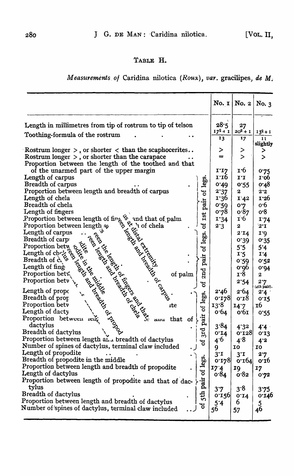# TABLE H.

MeaS~trements. *of* Caridina nilotica (Roux), *var\_* gracilipes) *de* M.

|                                                                                                                                                                                                                                                                                                            | No. $1$          | No. 2            | No. 3                      |
|------------------------------------------------------------------------------------------------------------------------------------------------------------------------------------------------------------------------------------------------------------------------------------------------------------|------------------|------------------|----------------------------|
| Length in millimetres from tip of rostrum to tip of telson                                                                                                                                                                                                                                                 | 28.5             | 27               |                            |
| Toothing-formula of the rostrum                                                                                                                                                                                                                                                                            | $17^2 + 1$<br>13 | $20^2 + 1$<br>17 | $13^{2}+1$<br>$\mathbf{I}$ |
|                                                                                                                                                                                                                                                                                                            |                  |                  | slightly                   |
| Rostrum longer $>$ , or shorter $<$ than the scaphocerites                                                                                                                                                                                                                                                 | ≻                | ⋗                | ⋗                          |
| Rostrum longer $>$ , or shorter than the carapace                                                                                                                                                                                                                                                          | ÷                | $\geq$           |                            |
| Proportion between the length of the toothed and that                                                                                                                                                                                                                                                      |                  |                  |                            |
| of the unarmed part of the upper margin<br>e units of carpus<br>and of check and the distribution between length of the search of fingers<br>reproduced the of check and the of fingers<br>Proportion between length as $\begin{pmatrix} 6 & 9 & 10 \\ 1 & 6 & 10 \\ 1 & 10 & 10 \\ 1 & 10 & 10 \\ 1 & 10$ | I'I7             | 1.6              | 0.75                       |
| legs.                                                                                                                                                                                                                                                                                                      | 1:16             | I'I              | 1.00                       |
|                                                                                                                                                                                                                                                                                                            | 0.49             | 0.55             | 0.48                       |
| ಕ                                                                                                                                                                                                                                                                                                          | 2.37<br>1.36     | $\boldsymbol{2}$ | 2.2<br>1.26                |
| pair                                                                                                                                                                                                                                                                                                       | 0.59             | I'42<br>0.7      | 0.6                        |
|                                                                                                                                                                                                                                                                                                            | 0.78             | 0.87             | 0.8                        |
| Ist                                                                                                                                                                                                                                                                                                        | 1'34             | $\vec{r}$ 6      | 1.74                       |
| ಕ<br>intio.<br>the of ca.<br>adth of carp<br>angth of cheric experience in the carp<br>coportion between the carp<br>angth of cheric experience in the Breadth of care of contract and the Breadth of care<br>in the carp control of care of co                                                            | 2.3              | 2                | $2^{\cdot}I$               |
|                                                                                                                                                                                                                                                                                                            |                  | 2.14             | 1.9                        |
| legs.                                                                                                                                                                                                                                                                                                      |                  | 0.30             | 0.35                       |
| ೆರ                                                                                                                                                                                                                                                                                                         |                  | 5.5              | 5.4                        |
|                                                                                                                                                                                                                                                                                                            |                  | 1.5              | 1.4                        |
| pair                                                                                                                                                                                                                                                                                                       |                  | 0.59             | 0.52                       |
|                                                                                                                                                                                                                                                                                                            |                  | 0.0 <sub>0</sub> | 0.01                       |
| 2nd                                                                                                                                                                                                                                                                                                        |                  | 1.8              | $\boldsymbol{2}$           |
| <b>His and the and in the line of the control of the control of the control of the control of the control of the control of the control of the control of the control of the control of the control of the control of the contro</b><br>ಕ                                                                  |                  | 2.54             | 2.7                        |
|                                                                                                                                                                                                                                                                                                            | 2.46             | 2.64             | $(4th$ pair).              |
| legs                                                                                                                                                                                                                                                                                                       | 0.178            | 0.18             | 2.4<br>0.15                |
| ite                                                                                                                                                                                                                                                                                                        | 13.8             | 14.7             | <b>16</b>                  |
| ಕ                                                                                                                                                                                                                                                                                                          | 0.64             | 0.61             | 0.55                       |
| pair<br>that<br><sub>of</sub><br>auu                                                                                                                                                                                                                                                                       |                  |                  |                            |
|                                                                                                                                                                                                                                                                                                            | 3.84             | 4'32             | 4.4                        |
| $\mathfrak{F}$                                                                                                                                                                                                                                                                                             | 0.14             | 0.128            | 0.13                       |
| Proportion between length and breadth of dactylus<br>ð                                                                                                                                                                                                                                                     | 4.6              | 4.8              | 4.3                        |
| Number of spines of dactylus, terminal claw included                                                                                                                                                                                                                                                       | 9                | 10               | 10                         |
| Length of propodite                                                                                                                                                                                                                                                                                        | $3^{\cdot}1$     | $3^{\cdot}$ I    | 2.7                        |
| legs<br>Breadth of propodite in the middle                                                                                                                                                                                                                                                                 | 0.128            | 0.104            | 0.10                       |
| Proportion between length and breadth of propodite                                                                                                                                                                                                                                                         | 17'4             | 19               | 17                         |
| Length of dactylus                                                                                                                                                                                                                                                                                         | 0.84             | 0.82             | 0.72                       |
| pair of<br>Proportion between length of propodite and that of dac-                                                                                                                                                                                                                                         |                  |                  |                            |
| tylus                                                                                                                                                                                                                                                                                                      | 3.7              | 3.8              | 3.75                       |
| 5 <sup>th</sup><br>Breadth of dactylus                                                                                                                                                                                                                                                                     | 0.156            | 0.14             | 0.146                      |
| Proportion between length and breadth of dactylus<br>ಕ                                                                                                                                                                                                                                                     | 5'4              | 6                | $\overline{5}$             |
| Number of spines of dactylus, terminal claw included                                                                                                                                                                                                                                                       | 56               | 57               | 46                         |
|                                                                                                                                                                                                                                                                                                            |                  |                  |                            |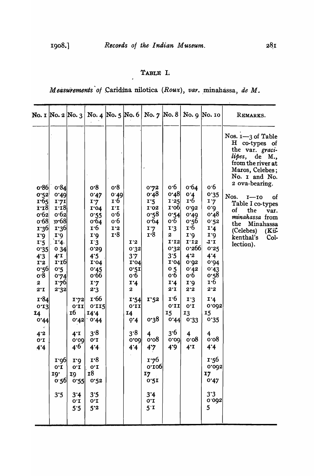# TABLE I.

Measurements of Caridina nilotica (Roux), var. minahassa, de M.

| lipes,<br>de<br>0.86<br>0.84<br>o.8<br>0.6<br>0.64<br>o <sub>6</sub><br>o.8<br>0.72<br>0.48<br>0.48<br>0'4<br>0.52<br>0.49<br>0.32<br>0.47<br>0.49<br>Nos.<br>$I-IO$<br>r65<br>1 <sup>.</sup> 6<br>1.6<br>1.5<br>1'25<br>I'7I<br>17<br>I'7<br>1.18<br>1.0Q<br>0.032<br>$\mathbf{i}$ $\mathbf{r}$<br>I'02<br>6.0<br>$I^{\prime}I$<br>I'04<br><b>of</b><br>the<br>0.62<br>o.58<br>0.62<br>o·6<br>0.54<br>0.49<br>0.48<br>0.55<br>$ 80^{\circ}$<br>0.68<br>o·6<br>0.64<br>$\mathbf{o} \cdot \mathbf{6}$<br>0.64<br>0.56<br>0.52<br>the<br>$\mathbf{I}$ 36<br>$\mathbf{r} \cdot 6$<br>1'2<br>1.7<br>I'3<br>$\mathbf{r} \cdot \mathbf{r}$<br><b>1'36</b><br>1.4<br>(Celebes)<br>$\mathbf{r} \cdot \mathbf{8}$<br>r <sub>8</sub><br>2<br>$\mathbf{r} \cdot \mathbf{q}$<br>1.6<br>1. <sub>0</sub><br>1.6<br>1.6<br>kenthal's<br>I'I2<br>I'12<br>$1^1$<br>I'4.<br>I.3<br>I'2<br>T:5<br>lection).<br>0.32<br>0.566<br>0.25<br>034<br>0.39<br>0.32<br>0.35<br>3.5<br>4'2<br>4.5<br>3.7<br>4.4<br>$4^{\cdot}$ I<br>4 <sup>3</sup><br>$\mathbf{I} \cdot \mathbf{I}$<br>0.03<br>I'04<br>0.94<br>I'2<br>I'04<br>I'04<br>0.56<br>0.5<br>0.5I<br>0 <sub>5</sub><br>0.42<br>0.45<br>0.43<br>0.6<br>0.6<br>0.8<br>o.66<br>0.6<br>0.58<br>0.74<br>$\mathbf{r} \cdot 6$<br>1.76<br>I'4<br>$\mathbf{r}$ .d<br>$\boldsymbol{2}$<br>1.4<br>I'7<br>2.2<br>$2^{\cdot}1$<br>2.2<br>$2^{\circ}I$<br>2.3<br>$\boldsymbol{2}$<br>2.32<br>$\mathbf{r}$ 66<br>r·84<br>$\mathbf{r} \cdot \mathbf{6}$<br>1.72<br>I:54<br>I.52<br>1.3<br>I'4<br>0.11<br>$0^{\circ}I$<br>0.11<br>0.005<br>0.13<br>0.11<br>0.115<br><b>16</b><br>15<br>I4.4<br>13<br>15<br><b>14</b><br><b>Ι4</b><br>0.38<br>0.44<br>0.35<br>0.42<br>0.4<br>0.33<br>0.44<br>$\cdot$ 0.44<br>$\mathcal{R}^{\prime}$<br>3.8<br>3.6<br>3.8<br>$4^{\cdot 2}$<br>$4^T$<br>$\overline{\mathbf{4}}$<br>4<br>4<br>0.08<br>0.08<br>0.08<br>0.00<br>0.00<br>$0^{\circ}I$<br>$0^{\circ}I$<br>0.00<br>4.4<br>4.6<br>4.9<br>$4^{\cdot}1$<br>4.4<br>4.7<br>4.4<br>4.4<br>I <sup>8</sup><br>1.76<br>1.56<br>1.96<br>I'<br>0.100<br>0.005<br>$0^{\circ}I$<br>$0^{\circ}I$<br>$0^{\circ}I$<br><b>18</b><br>19 <sup>.</sup><br>I7<br>17<br>I9<br>0.55<br>0.52<br>0.47<br>0.56<br>0.51<br>3.3<br>3.5<br>3.5<br>3'4<br>3'4<br>0.003<br>$0^{\circ}I$<br>$O^{\bullet}I$<br>$0^{\prime}I$<br>5<br>5.5<br>5.2<br>$5^{\cdot}$ I |  | No. 1 No. 2 No. 3 $ $ | No. 4   No. 5   No. 6 |  | No. $7 \times 8$ |  | No. 9 No. 10 | REMARKS.                                                                                                                                                                                                                            |
|------------------------------------------------------------------------------------------------------------------------------------------------------------------------------------------------------------------------------------------------------------------------------------------------------------------------------------------------------------------------------------------------------------------------------------------------------------------------------------------------------------------------------------------------------------------------------------------------------------------------------------------------------------------------------------------------------------------------------------------------------------------------------------------------------------------------------------------------------------------------------------------------------------------------------------------------------------------------------------------------------------------------------------------------------------------------------------------------------------------------------------------------------------------------------------------------------------------------------------------------------------------------------------------------------------------------------------------------------------------------------------------------------------------------------------------------------------------------------------------------------------------------------------------------------------------------------------------------------------------------------------------------------------------------------------------------------------------------------------------------------------------------------------------------------------------------------------------------------------------------------------------------------------------------------------------------------------------------------------------------------------------------------------------------------------------------------------------------------------------------------------------------------------------------------------------------------------------------------------------------------------------------------------------------------------------------------------|--|-----------------------|-----------------------|--|------------------|--|--------------|-------------------------------------------------------------------------------------------------------------------------------------------------------------------------------------------------------------------------------------|
|                                                                                                                                                                                                                                                                                                                                                                                                                                                                                                                                                                                                                                                                                                                                                                                                                                                                                                                                                                                                                                                                                                                                                                                                                                                                                                                                                                                                                                                                                                                                                                                                                                                                                                                                                                                                                                                                                                                                                                                                                                                                                                                                                                                                                                                                                                                                    |  |                       |                       |  |                  |  |              | Nos. 1-3 of Table<br>H co-types of<br>the var. graci-<br>M.,<br>from the river at<br>Maros, Celebes;<br>No. 1 and No.<br>2 ova-bearing.<br><b>of</b><br>Table I co-types<br>var.<br>minahassa from<br>Minahassa<br>$(Kii$ -<br>Col- |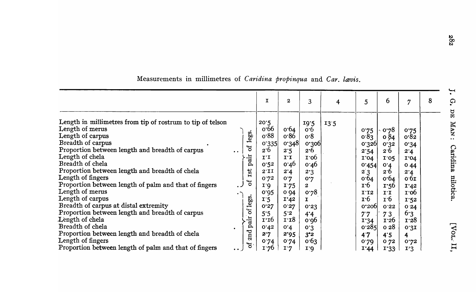|                                                                                                                                                                                                                                                                                                                                                                                                                                                                                     |                                                                                                        | I                                                                                                           | $\mathbf{z}$                                                                                                         | 3                                                                                                  | 4    | $\overline{5}$                                                                                                                                     | 6                                                                                                                                              | $\overline{7}$                                                                                   | 8 |
|-------------------------------------------------------------------------------------------------------------------------------------------------------------------------------------------------------------------------------------------------------------------------------------------------------------------------------------------------------------------------------------------------------------------------------------------------------------------------------------|--------------------------------------------------------------------------------------------------------|-------------------------------------------------------------------------------------------------------------|----------------------------------------------------------------------------------------------------------------------|----------------------------------------------------------------------------------------------------|------|----------------------------------------------------------------------------------------------------------------------------------------------------|------------------------------------------------------------------------------------------------------------------------------------------------|--------------------------------------------------------------------------------------------------|---|
| Length in millimetres from tip of rostrum to tip of telson<br>Length of merus<br>Length of carpus<br>Breadth of carpus<br>Proportion between length and breadth of carpus<br>Length of chela<br>Breadth of chela<br>Proportion between length and breadth of chela<br>Length of fingers<br>Proportion between length of palm and that of fingers<br>Length of merus<br>Length of carpus<br>Breadth of carpus at distal extremity<br>Proportion between length and breadth of carpus | legs.<br>$\sigma$<br>$\bullet\quad \bullet\quad$<br>pair<br>Ist<br>$\mathfrak{b}$<br>. -<br>legs.<br>ð | 20.5<br>0.66<br>0.88<br>0.335<br>2.6<br>I.I<br>0.52<br>$2^T1$<br>0.72<br>I.6<br>0.025<br>I.5<br>0.27<br>5.5 | 0.64<br>0.86<br>0.348<br>2.5<br>$I^{\dagger}I$<br>0.46<br>2.4<br>0.7<br>1.75<br>0.94<br>I'42<br>0.27<br>$5^{\cdot}2$ | 19.5<br>0.6<br>0.8<br>0.300<br>2.6<br>1.06<br>0.46<br>2.3<br>0.7<br>2<br>0.78<br>Ι.<br>0.53<br>4.4 | 13.5 | 0.75<br>0.83<br>0.326<br>2.54<br>I'04<br>0.454<br>$2^{\degree}3$<br>0.64<br>$\mathbf{r} \cdot 6$<br>$I^T2$<br>$\mathbf{r} \cdot 6$<br>0.200<br>7.7 | 0.78<br>0.84<br>0.32<br>2.6<br>I'05<br>0.4<br>2.6<br>0.64<br>$\mathbf{r}$ :56<br>$I^{\dagger}I$<br>$\mathbf{r} \cdot \mathbf{6}$<br>0.52<br>73 | 0.75<br>0.82<br>0.34<br>2.4<br>I'04<br>044<br>2'4<br>0.61<br>I'42<br>1.06<br>1.52<br>0.24<br>6.3 |   |
| Length of chela<br>Breadth of chela<br>Proportion between length and breadth of chela<br>Length of fingers<br>Proportion between length of palm and that of fingers                                                                                                                                                                                                                                                                                                                 | pair<br>2nd<br>$\sigma$<br>$\bullet$ $\bullet$                                                         | 1.16<br>0.42<br>2.7<br>0.74<br>1 <sup>.</sup> 76                                                            | 1.18<br>0.4<br>2.95<br>0.74<br>I.7                                                                                   | 0.06<br>0.3<br>3°2<br>0.63<br>1.9                                                                  |      | I'34<br>0.285<br>47<br>0.79<br>1.44                                                                                                                | 1.26<br>028<br>4.5<br>072<br>1.33                                                                                                              | 1.28<br>0.31<br>4<br>0.72<br>I:3                                                                 |   |

Measurements in millimetres of *Caridina propinqua* and *Car. lævis.*